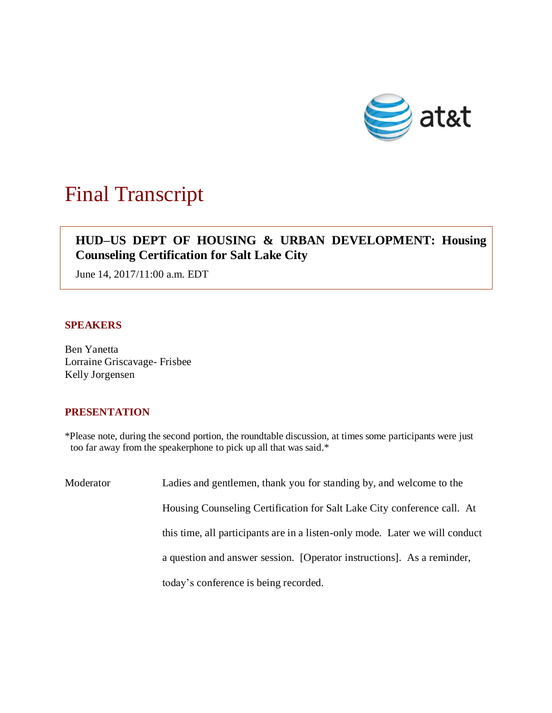

## Final Transcript

## **HUD–US DEPT OF HOUSING & URBAN DEVELOPMENT: Housing Counseling Certification for Salt Lake City**

June 14, 2017/11:00 a.m. EDT

## **SPEAKERS**

Ben Yanetta Lorraine Griscavage- Frisbee Kelly Jorgensen

## **PRESENTATION**

\*Please note, during the second portion, the roundtable discussion, at times some participants were just too far away from the speakerphone to pick up all that was said.\*

| Moderator | Ladies and gentlemen, thank you for standing by, and welcome to the          |
|-----------|------------------------------------------------------------------------------|
|           | Housing Counseling Certification for Salt Lake City conference call. At      |
|           | this time, all participants are in a listen-only mode. Later we will conduct |
|           | a question and answer session. [Operator instructions]. As a reminder,       |
|           | today's conference is being recorded.                                        |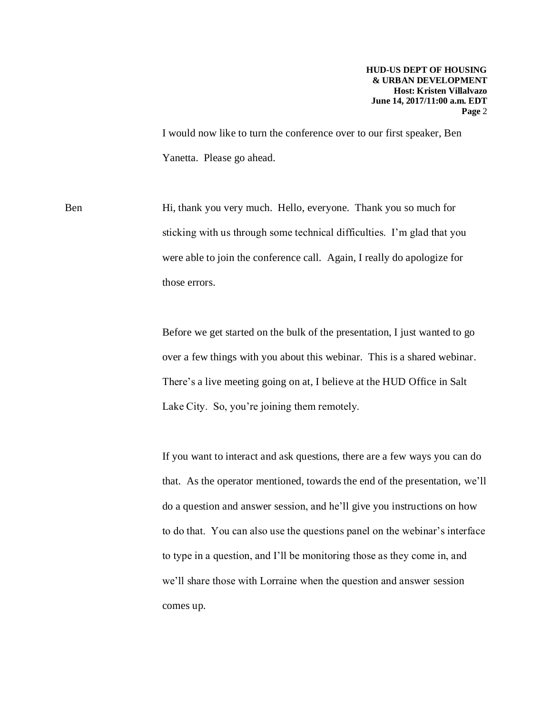I would now like to turn the conference over to our first speaker, Ben Yanetta. Please go ahead.

Ben Hi, thank you very much. Hello, everyone. Thank you so much for sticking with us through some technical difficulties. I'm glad that you were able to join the conference call. Again, I really do apologize for those errors.

> Before we get started on the bulk of the presentation, I just wanted to go over a few things with you about this webinar. This is a shared webinar. There's a live meeting going on at, I believe at the HUD Office in Salt Lake City. So, you're joining them remotely.

If you want to interact and ask questions, there are a few ways you can do that. As the operator mentioned, towards the end of the presentation, we'll do a question and answer session, and he'll give you instructions on how to do that. You can also use the questions panel on the webinar's interface to type in a question, and I'll be monitoring those as they come in, and we'll share those with Lorraine when the question and answer session comes up.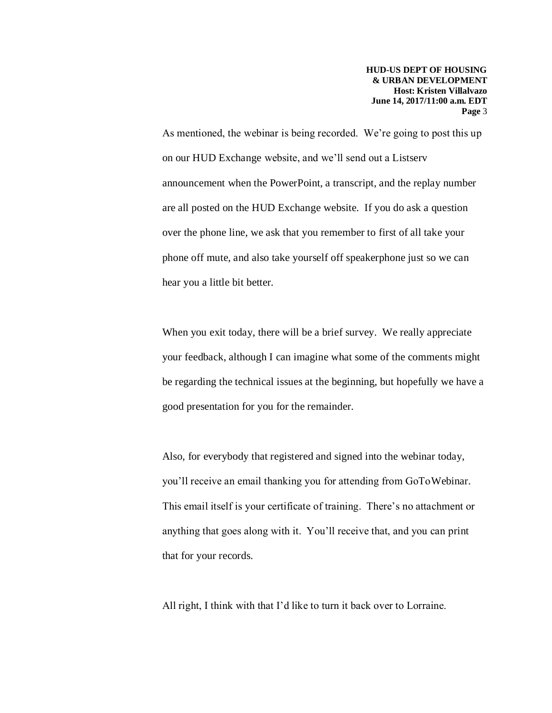As mentioned, the webinar is being recorded. We're going to post this up on our HUD Exchange website, and we'll send out a Listserv announcement when the PowerPoint, a transcript, and the replay number are all posted on the HUD Exchange website. If you do ask a question over the phone line, we ask that you remember to first of all take your phone off mute, and also take yourself off speakerphone just so we can hear you a little bit better.

When you exit today, there will be a brief survey. We really appreciate your feedback, although I can imagine what some of the comments might be regarding the technical issues at the beginning, but hopefully we have a good presentation for you for the remainder.

Also, for everybody that registered and signed into the webinar today, you'll receive an email thanking you for attending from GoToWebinar. This email itself is your certificate of training. There's no attachment or anything that goes along with it. You'll receive that, and you can print that for your records.

All right, I think with that I'd like to turn it back over to Lorraine.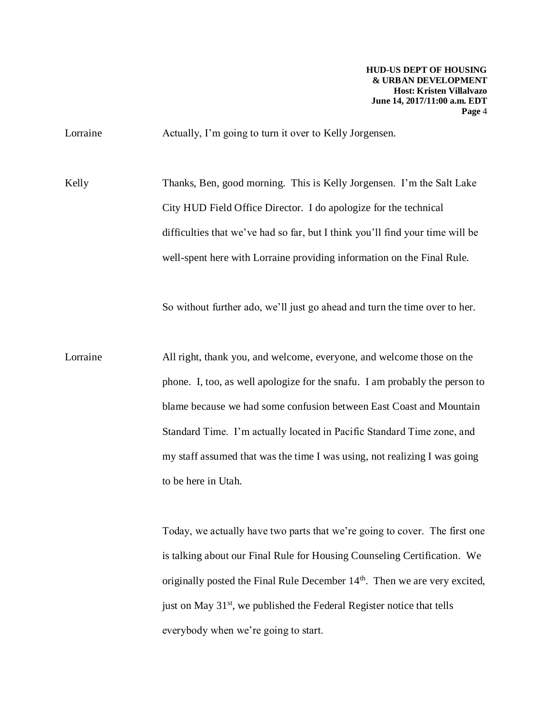Lorraine Actually, I'm going to turn it over to Kelly Jorgensen.

Kelly Thanks, Ben, good morning. This is Kelly Jorgensen. I'm the Salt Lake City HUD Field Office Director. I do apologize for the technical difficulties that we've had so far, but I think you'll find your time will be well-spent here with Lorraine providing information on the Final Rule.

So without further ado, we'll just go ahead and turn the time over to her.

Lorraine All right, thank you, and welcome, everyone, and welcome those on the phone. I, too, as well apologize for the snafu. I am probably the person to blame because we had some confusion between East Coast and Mountain Standard Time. I'm actually located in Pacific Standard Time zone, and my staff assumed that was the time I was using, not realizing I was going to be here in Utah.

> Today, we actually have two parts that we're going to cover. The first one is talking about our Final Rule for Housing Counseling Certification. We originally posted the Final Rule December  $14<sup>th</sup>$ . Then we are very excited, just on May  $31<sup>st</sup>$ , we published the Federal Register notice that tells everybody when we're going to start.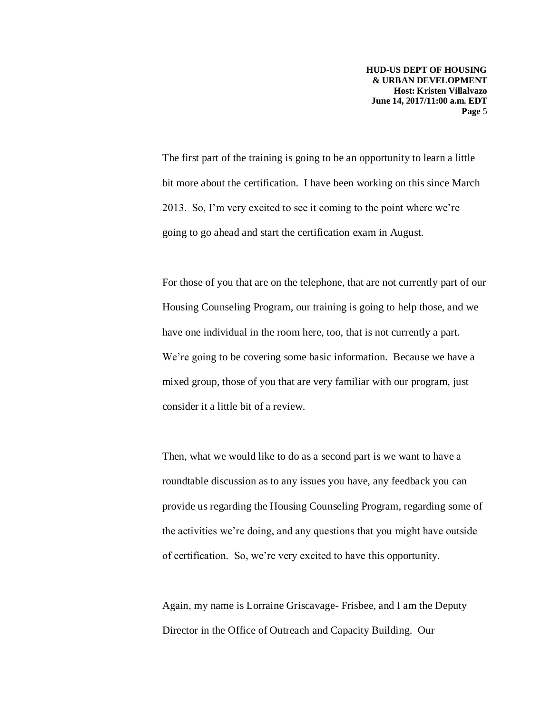The first part of the training is going to be an opportunity to learn a little bit more about the certification. I have been working on this since March 2013. So, I'm very excited to see it coming to the point where we're going to go ahead and start the certification exam in August.

For those of you that are on the telephone, that are not currently part of our Housing Counseling Program, our training is going to help those, and we have one individual in the room here, too, that is not currently a part. We're going to be covering some basic information. Because we have a mixed group, those of you that are very familiar with our program, just consider it a little bit of a review.

Then, what we would like to do as a second part is we want to have a roundtable discussion as to any issues you have, any feedback you can provide us regarding the Housing Counseling Program, regarding some of the activities we're doing, and any questions that you might have outside of certification. So, we're very excited to have this opportunity.

Again, my name is Lorraine Griscavage- Frisbee, and I am the Deputy Director in the Office of Outreach and Capacity Building. Our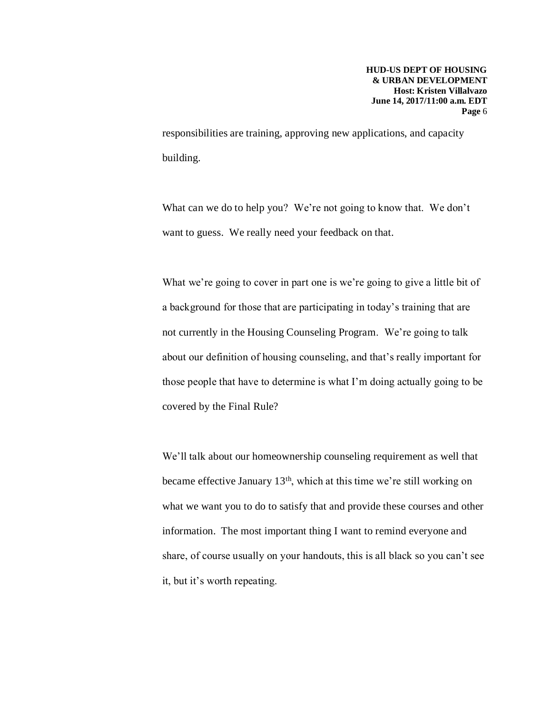responsibilities are training, approving new applications, and capacity building.

What can we do to help you? We're not going to know that. We don't want to guess. We really need your feedback on that.

What we're going to cover in part one is we're going to give a little bit of a background for those that are participating in today's training that are not currently in the Housing Counseling Program. We're going to talk about our definition of housing counseling, and that's really important for those people that have to determine is what I'm doing actually going to be covered by the Final Rule?

We'll talk about our homeownership counseling requirement as well that became effective January 13th, which at this time we're still working on what we want you to do to satisfy that and provide these courses and other information. The most important thing I want to remind everyone and share, of course usually on your handouts, this is all black so you can't see it, but it's worth repeating.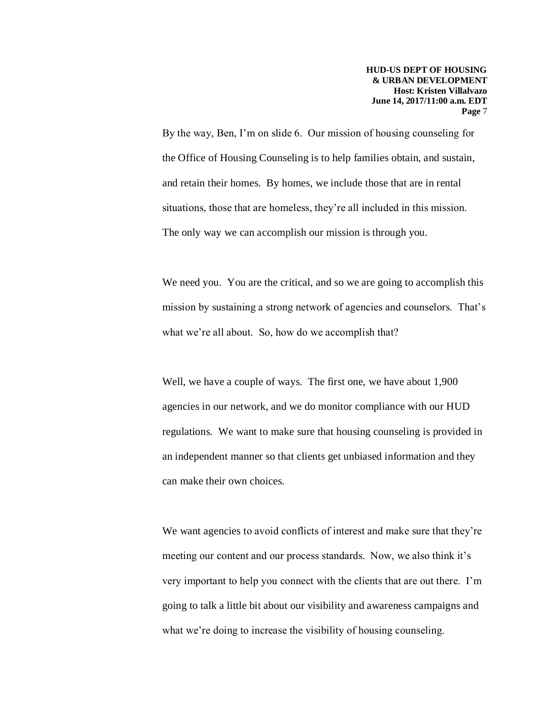By the way, Ben, I'm on slide 6. Our mission of housing counseling for the Office of Housing Counseling is to help families obtain, and sustain, and retain their homes. By homes, we include those that are in rental situations, those that are homeless, they're all included in this mission. The only way we can accomplish our mission is through you.

We need you. You are the critical, and so we are going to accomplish this mission by sustaining a strong network of agencies and counselors. That's what we're all about. So, how do we accomplish that?

Well, we have a couple of ways. The first one, we have about 1,900 agencies in our network, and we do monitor compliance with our HUD regulations. We want to make sure that housing counseling is provided in an independent manner so that clients get unbiased information and they can make their own choices.

We want agencies to avoid conflicts of interest and make sure that they're meeting our content and our process standards. Now, we also think it's very important to help you connect with the clients that are out there. I'm going to talk a little bit about our visibility and awareness campaigns and what we're doing to increase the visibility of housing counseling.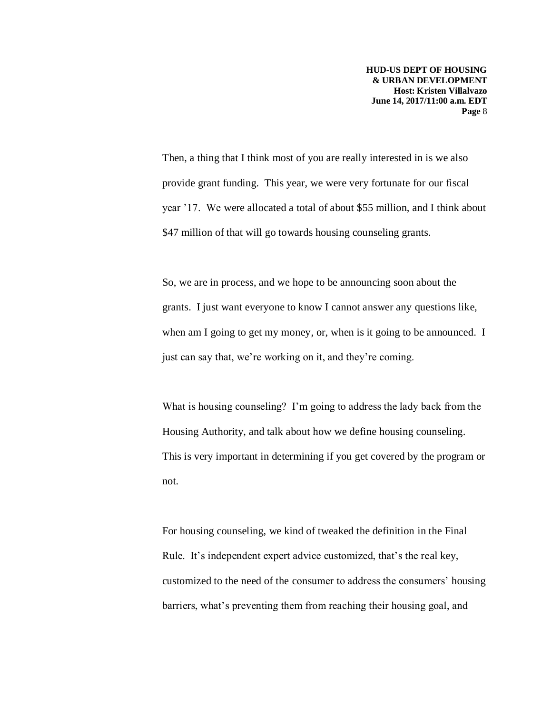Then, a thing that I think most of you are really interested in is we also provide grant funding. This year, we were very fortunate for our fiscal year '17. We were allocated a total of about \$55 million, and I think about \$47 million of that will go towards housing counseling grants.

So, we are in process, and we hope to be announcing soon about the grants. I just want everyone to know I cannot answer any questions like, when am I going to get my money, or, when is it going to be announced. I just can say that, we're working on it, and they're coming.

What is housing counseling? I'm going to address the lady back from the Housing Authority, and talk about how we define housing counseling. This is very important in determining if you get covered by the program or not.

For housing counseling, we kind of tweaked the definition in the Final Rule. It's independent expert advice customized, that's the real key, customized to the need of the consumer to address the consumers' housing barriers, what's preventing them from reaching their housing goal, and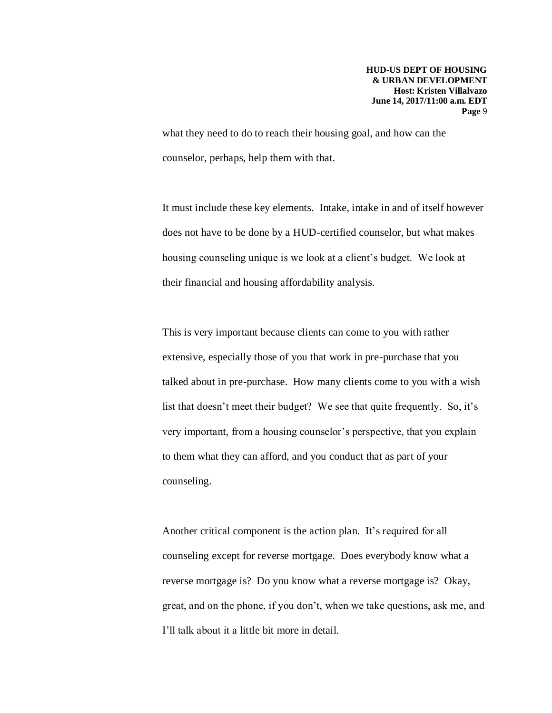what they need to do to reach their housing goal, and how can the counselor, perhaps, help them with that.

It must include these key elements. Intake, intake in and of itself however does not have to be done by a HUD-certified counselor, but what makes housing counseling unique is we look at a client's budget. We look at their financial and housing affordability analysis.

This is very important because clients can come to you with rather extensive, especially those of you that work in pre-purchase that you talked about in pre-purchase. How many clients come to you with a wish list that doesn't meet their budget? We see that quite frequently. So, it's very important, from a housing counselor's perspective, that you explain to them what they can afford, and you conduct that as part of your counseling.

Another critical component is the action plan. It's required for all counseling except for reverse mortgage. Does everybody know what a reverse mortgage is? Do you know what a reverse mortgage is? Okay, great, and on the phone, if you don't, when we take questions, ask me, and I'll talk about it a little bit more in detail.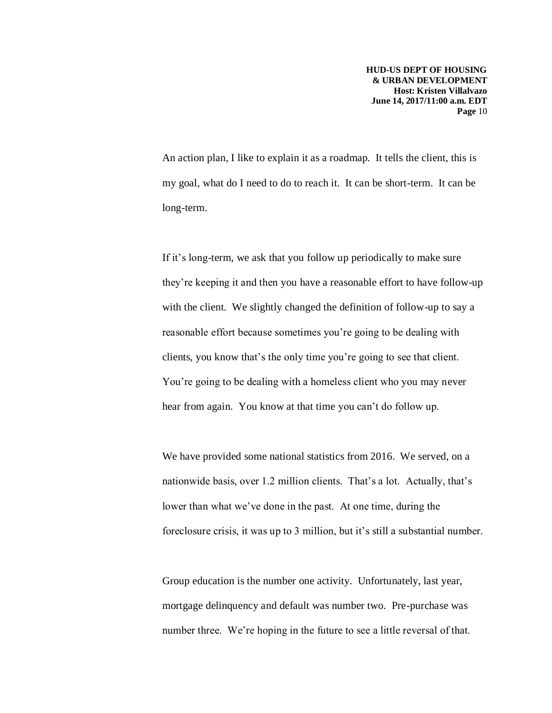An action plan, I like to explain it as a roadmap. It tells the client, this is my goal, what do I need to do to reach it. It can be short-term. It can be long-term.

If it's long-term, we ask that you follow up periodically to make sure they're keeping it and then you have a reasonable effort to have follow-up with the client. We slightly changed the definition of follow-up to say a reasonable effort because sometimes you're going to be dealing with clients, you know that's the only time you're going to see that client. You're going to be dealing with a homeless client who you may never hear from again. You know at that time you can't do follow up.

We have provided some national statistics from 2016. We served, on a nationwide basis, over 1.2 million clients. That's a lot. Actually, that's lower than what we've done in the past. At one time, during the foreclosure crisis, it was up to 3 million, but it's still a substantial number.

Group education is the number one activity. Unfortunately, last year, mortgage delinquency and default was number two. Pre-purchase was number three. We're hoping in the future to see a little reversal of that.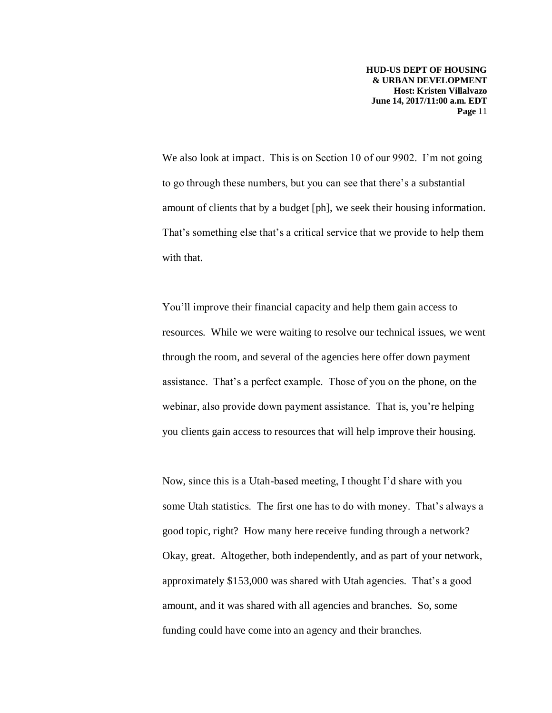We also look at impact. This is on Section 10 of our 9902. I'm not going to go through these numbers, but you can see that there's a substantial amount of clients that by a budget [ph], we seek their housing information. That's something else that's a critical service that we provide to help them with that.

You'll improve their financial capacity and help them gain access to resources. While we were waiting to resolve our technical issues, we went through the room, and several of the agencies here offer down payment assistance. That's a perfect example. Those of you on the phone, on the webinar, also provide down payment assistance. That is, you're helping you clients gain access to resources that will help improve their housing.

Now, since this is a Utah-based meeting, I thought I'd share with you some Utah statistics. The first one has to do with money. That's always a good topic, right? How many here receive funding through a network? Okay, great. Altogether, both independently, and as part of your network, approximately \$153,000 was shared with Utah agencies. That's a good amount, and it was shared with all agencies and branches. So, some funding could have come into an agency and their branches.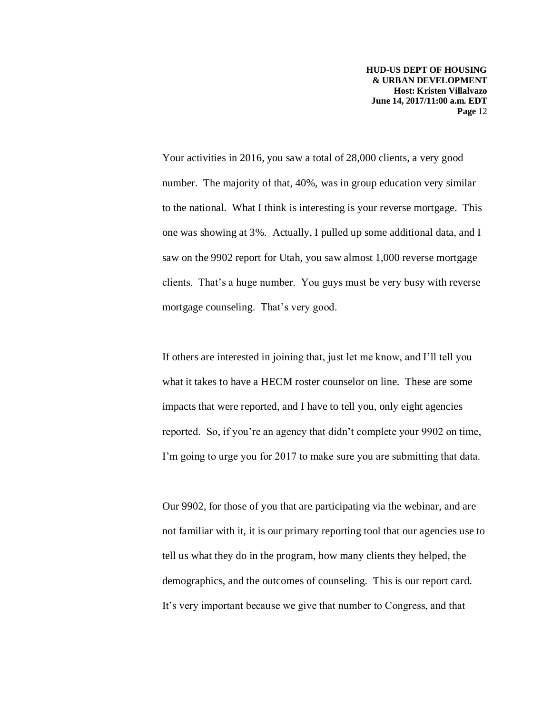Your activities in 2016, you saw a total of 28,000 clients, a very good number. The majority of that, 40%, was in group education very similar to the national. What I think is interesting is your reverse mortgage. This one was showing at 3%. Actually, I pulled up some additional data, and I saw on the 9902 report for Utah, you saw almost 1,000 reverse mortgage clients. That's a huge number. You guys must be very busy with reverse mortgage counseling. That's very good.

If others are interested in joining that, just let me know, and I'll tell you what it takes to have a HECM roster counselor on line. These are some impacts that were reported, and I have to tell you, only eight agencies reported. So, if you're an agency that didn't complete your 9902 on time, I'm going to urge you for 2017 to make sure you are submitting that data.

Our 9902, for those of you that are participating via the webinar, and are not familiar with it, it is our primary reporting tool that our agencies use to tell us what they do in the program, how many clients they helped, the demographics, and the outcomes of counseling. This is our report card. It's very important because we give that number to Congress, and that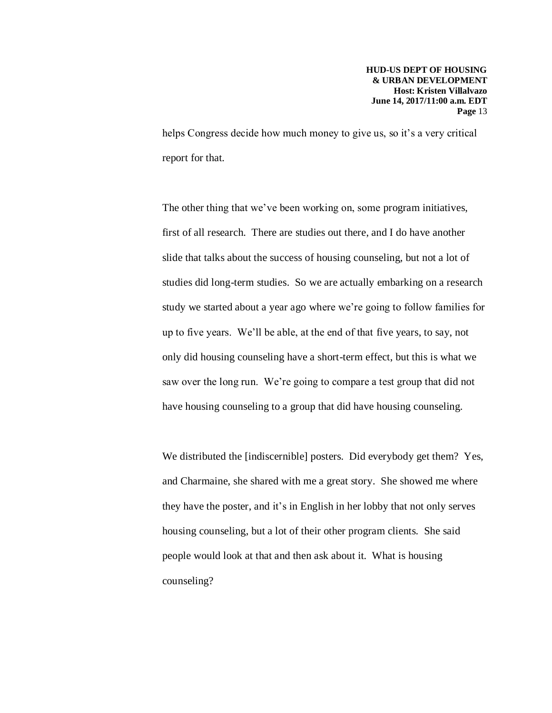helps Congress decide how much money to give us, so it's a very critical report for that.

The other thing that we've been working on, some program initiatives, first of all research. There are studies out there, and I do have another slide that talks about the success of housing counseling, but not a lot of studies did long-term studies. So we are actually embarking on a research study we started about a year ago where we're going to follow families for up to five years. We'll be able, at the end of that five years, to say, not only did housing counseling have a short-term effect, but this is what we saw over the long run. We're going to compare a test group that did not have housing counseling to a group that did have housing counseling.

We distributed the [indiscernible] posters. Did everybody get them? Yes, and Charmaine, she shared with me a great story. She showed me where they have the poster, and it's in English in her lobby that not only serves housing counseling, but a lot of their other program clients. She said people would look at that and then ask about it. What is housing counseling?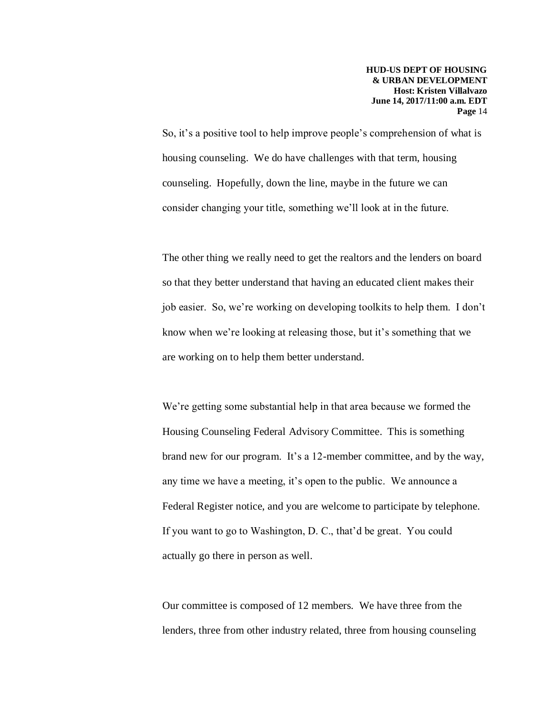So, it's a positive tool to help improve people's comprehension of what is housing counseling. We do have challenges with that term, housing counseling. Hopefully, down the line, maybe in the future we can consider changing your title, something we'll look at in the future.

The other thing we really need to get the realtors and the lenders on board so that they better understand that having an educated client makes their job easier. So, we're working on developing toolkits to help them. I don't know when we're looking at releasing those, but it's something that we are working on to help them better understand.

We're getting some substantial help in that area because we formed the Housing Counseling Federal Advisory Committee. This is something brand new for our program. It's a 12-member committee, and by the way, any time we have a meeting, it's open to the public. We announce a Federal Register notice, and you are welcome to participate by telephone. If you want to go to Washington, D. C., that'd be great. You could actually go there in person as well.

Our committee is composed of 12 members. We have three from the lenders, three from other industry related, three from housing counseling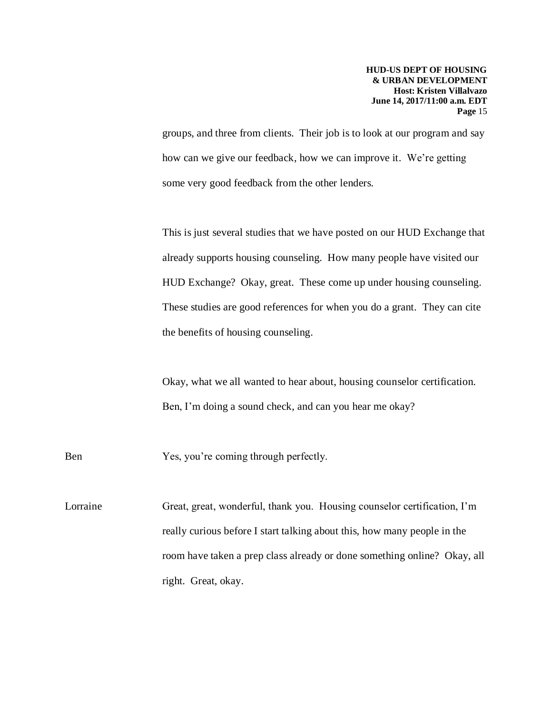groups, and three from clients. Their job is to look at our program and say how can we give our feedback, how we can improve it. We're getting some very good feedback from the other lenders.

This is just several studies that we have posted on our HUD Exchange that already supports housing counseling. How many people have visited our HUD Exchange? Okay, great. These come up under housing counseling. These studies are good references for when you do a grant. They can cite the benefits of housing counseling.

Okay, what we all wanted to hear about, housing counselor certification. Ben, I'm doing a sound check, and can you hear me okay?

Ben Yes, you're coming through perfectly.

Lorraine Great, great, wonderful, thank you. Housing counselor certification, I'm really curious before I start talking about this, how many people in the room have taken a prep class already or done something online? Okay, all right. Great, okay.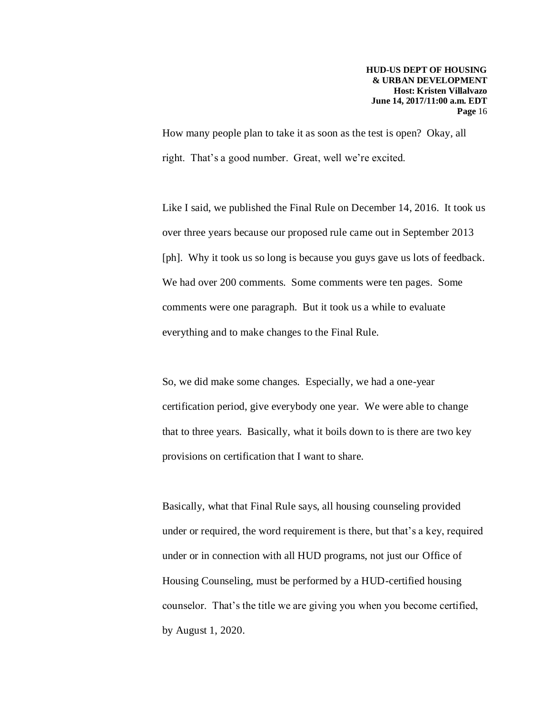How many people plan to take it as soon as the test is open? Okay, all right. That's a good number. Great, well we're excited.

Like I said, we published the Final Rule on December 14, 2016. It took us over three years because our proposed rule came out in September 2013 [ph]. Why it took us so long is because you guys gave us lots of feedback. We had over 200 comments. Some comments were ten pages. Some comments were one paragraph. But it took us a while to evaluate everything and to make changes to the Final Rule.

So, we did make some changes. Especially, we had a one-year certification period, give everybody one year. We were able to change that to three years. Basically, what it boils down to is there are two key provisions on certification that I want to share.

Basically, what that Final Rule says, all housing counseling provided under or required, the word requirement is there, but that's a key, required under or in connection with all HUD programs, not just our Office of Housing Counseling, must be performed by a HUD-certified housing counselor. That's the title we are giving you when you become certified, by August 1, 2020.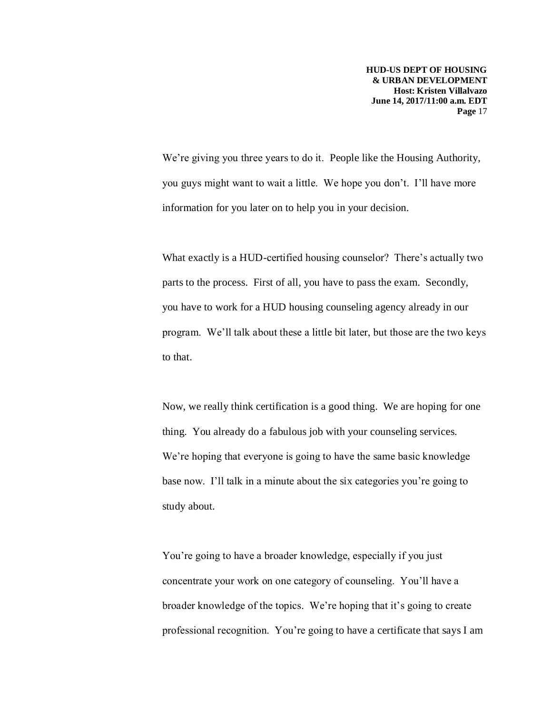We're giving you three years to do it. People like the Housing Authority, you guys might want to wait a little. We hope you don't. I'll have more information for you later on to help you in your decision.

What exactly is a HUD-certified housing counselor? There's actually two parts to the process. First of all, you have to pass the exam. Secondly, you have to work for a HUD housing counseling agency already in our program. We'll talk about these a little bit later, but those are the two keys to that.

Now, we really think certification is a good thing. We are hoping for one thing. You already do a fabulous job with your counseling services. We're hoping that everyone is going to have the same basic knowledge base now. I'll talk in a minute about the six categories you're going to study about.

You're going to have a broader knowledge, especially if you just concentrate your work on one category of counseling. You'll have a broader knowledge of the topics. We're hoping that it's going to create professional recognition. You're going to have a certificate that says I am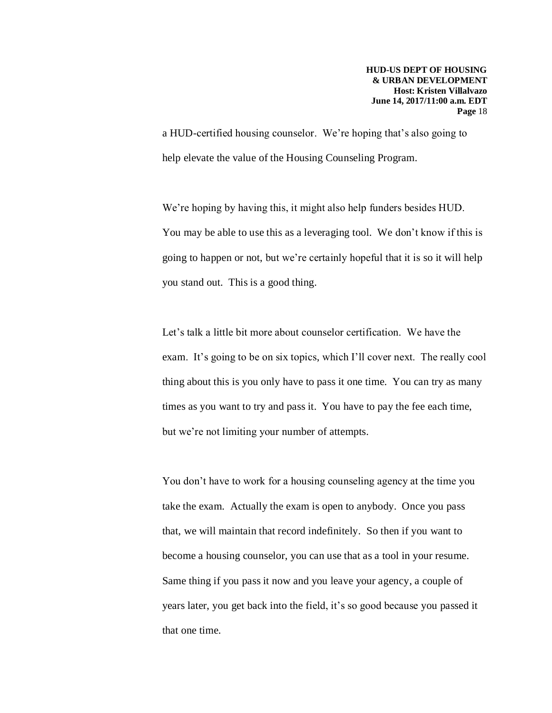a HUD-certified housing counselor. We're hoping that's also going to help elevate the value of the Housing Counseling Program.

We're hoping by having this, it might also help funders besides HUD. You may be able to use this as a leveraging tool. We don't know if this is going to happen or not, but we're certainly hopeful that it is so it will help you stand out. This is a good thing.

Let's talk a little bit more about counselor certification. We have the exam. It's going to be on six topics, which I'll cover next. The really cool thing about this is you only have to pass it one time. You can try as many times as you want to try and pass it. You have to pay the fee each time, but we're not limiting your number of attempts.

You don't have to work for a housing counseling agency at the time you take the exam. Actually the exam is open to anybody. Once you pass that, we will maintain that record indefinitely. So then if you want to become a housing counselor, you can use that as a tool in your resume. Same thing if you pass it now and you leave your agency, a couple of years later, you get back into the field, it's so good because you passed it that one time.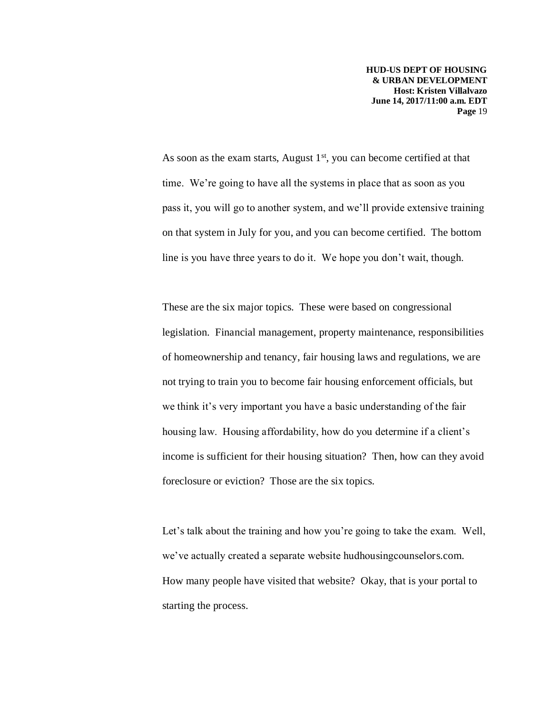As soon as the exam starts, August  $1<sup>st</sup>$ , you can become certified at that time. We're going to have all the systems in place that as soon as you pass it, you will go to another system, and we'll provide extensive training on that system in July for you, and you can become certified. The bottom line is you have three years to do it. We hope you don't wait, though.

These are the six major topics. These were based on congressional legislation. Financial management, property maintenance, responsibilities of homeownership and tenancy, fair housing laws and regulations, we are not trying to train you to become fair housing enforcement officials, but we think it's very important you have a basic understanding of the fair housing law. Housing affordability, how do you determine if a client's income is sufficient for their housing situation? Then, how can they avoid foreclosure or eviction? Those are the six topics.

Let's talk about the training and how you're going to take the exam. Well, we've actually created a separate website hudhousingcounselors.com. How many people have visited that website? Okay, that is your portal to starting the process.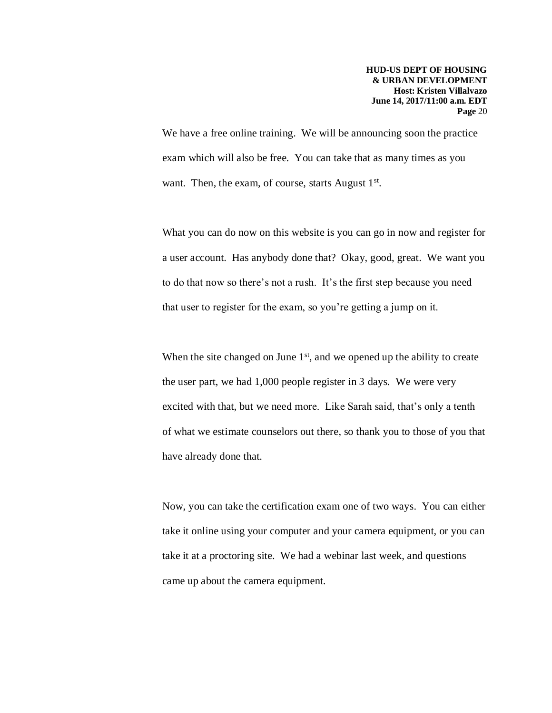We have a free online training. We will be announcing soon the practice exam which will also be free. You can take that as many times as you want. Then, the exam, of course, starts August 1<sup>st</sup>.

What you can do now on this website is you can go in now and register for a user account. Has anybody done that? Okay, good, great. We want you to do that now so there's not a rush. It's the first step because you need that user to register for the exam, so you're getting a jump on it.

When the site changed on June  $1<sup>st</sup>$ , and we opened up the ability to create the user part, we had 1,000 people register in 3 days. We were very excited with that, but we need more. Like Sarah said, that's only a tenth of what we estimate counselors out there, so thank you to those of you that have already done that.

Now, you can take the certification exam one of two ways. You can either take it online using your computer and your camera equipment, or you can take it at a proctoring site. We had a webinar last week, and questions came up about the camera equipment.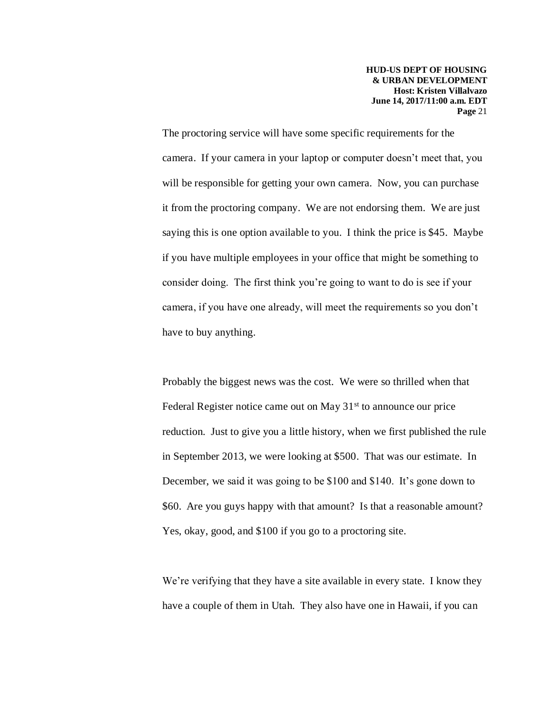The proctoring service will have some specific requirements for the camera. If your camera in your laptop or computer doesn't meet that, you will be responsible for getting your own camera. Now, you can purchase it from the proctoring company. We are not endorsing them. We are just saying this is one option available to you. I think the price is \$45. Maybe if you have multiple employees in your office that might be something to consider doing. The first think you're going to want to do is see if your camera, if you have one already, will meet the requirements so you don't have to buy anything.

Probably the biggest news was the cost. We were so thrilled when that Federal Register notice came out on May  $31<sup>st</sup>$  to announce our price reduction. Just to give you a little history, when we first published the rule in September 2013, we were looking at \$500. That was our estimate. In December, we said it was going to be \$100 and \$140. It's gone down to \$60. Are you guys happy with that amount? Is that a reasonable amount? Yes, okay, good, and \$100 if you go to a proctoring site.

We're verifying that they have a site available in every state. I know they have a couple of them in Utah. They also have one in Hawaii, if you can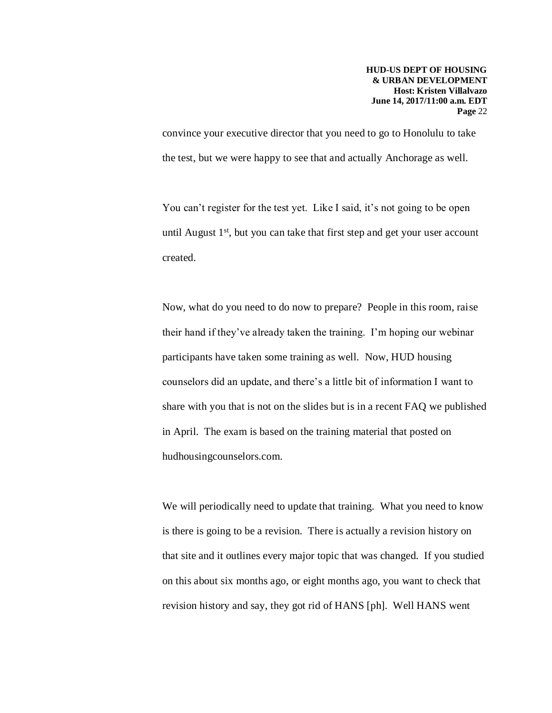convince your executive director that you need to go to Honolulu to take the test, but we were happy to see that and actually Anchorage as well.

You can't register for the test yet. Like I said, it's not going to be open until August 1<sup>st</sup>, but you can take that first step and get your user account created.

Now, what do you need to do now to prepare? People in this room, raise their hand if they've already taken the training. I'm hoping our webinar participants have taken some training as well. Now, HUD housing counselors did an update, and there's a little bit of information I want to share with you that is not on the slides but is in a recent FAQ we published in April. The exam is based on the training material that posted on hudhousingcounselors.com.

We will periodically need to update that training. What you need to know is there is going to be a revision. There is actually a revision history on that site and it outlines every major topic that was changed. If you studied on this about six months ago, or eight months ago, you want to check that revision history and say, they got rid of HANS [ph]. Well HANS went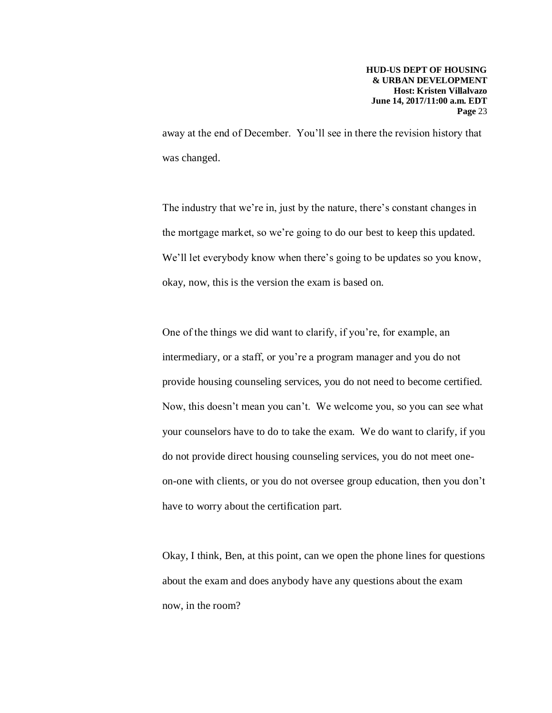away at the end of December. You'll see in there the revision history that was changed.

The industry that we're in, just by the nature, there's constant changes in the mortgage market, so we're going to do our best to keep this updated. We'll let everybody know when there's going to be updates so you know, okay, now, this is the version the exam is based on.

One of the things we did want to clarify, if you're, for example, an intermediary, or a staff, or you're a program manager and you do not provide housing counseling services, you do not need to become certified. Now, this doesn't mean you can't. We welcome you, so you can see what your counselors have to do to take the exam. We do want to clarify, if you do not provide direct housing counseling services, you do not meet oneon-one with clients, or you do not oversee group education, then you don't have to worry about the certification part.

Okay, I think, Ben, at this point, can we open the phone lines for questions about the exam and does anybody have any questions about the exam now, in the room?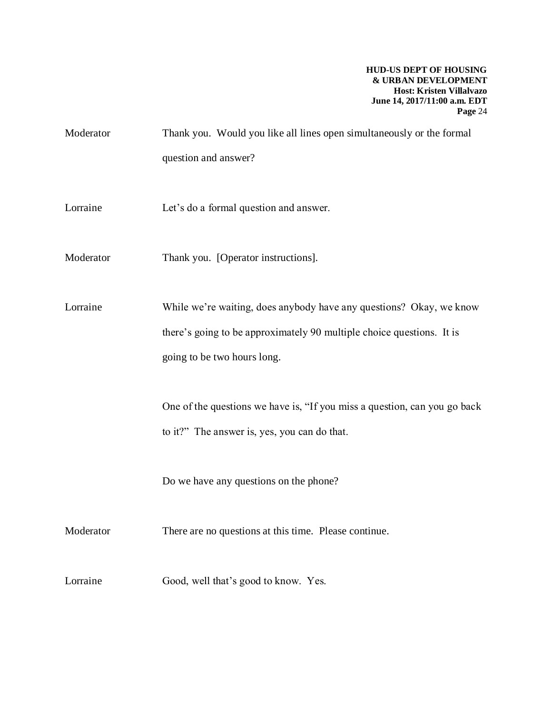- Moderator Thank you. Would you like all lines open simultaneously or the formal question and answer?
- Lorraine Let's do a formal question and answer.
- Moderator Thank you. [Operator instructions].

Lorraine While we're waiting, does anybody have any questions? Okay, we know there's going to be approximately 90 multiple choice questions. It is going to be two hours long.

> One of the questions we have is, "If you miss a question, can you go back to it?" The answer is, yes, you can do that.

Do we have any questions on the phone?

Moderator There are no questions at this time. Please continue.

Lorraine Good, well that's good to know. Yes.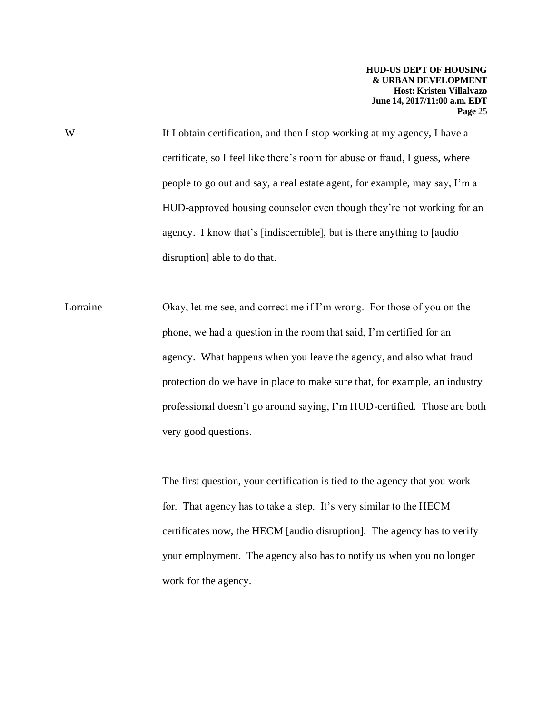W If I obtain certification, and then I stop working at my agency, I have a certificate, so I feel like there's room for abuse or fraud, I guess, where people to go out and say, a real estate agent, for example, may say, I'm a HUD-approved housing counselor even though they're not working for an agency. I know that's [indiscernible], but is there anything to [audio disruption] able to do that.

Lorraine Okay, let me see, and correct me if I'm wrong. For those of you on the phone, we had a question in the room that said, I'm certified for an agency. What happens when you leave the agency, and also what fraud protection do we have in place to make sure that, for example, an industry professional doesn't go around saying, I'm HUD-certified. Those are both very good questions.

> The first question, your certification is tied to the agency that you work for. That agency has to take a step. It's very similar to the HECM certificates now, the HECM [audio disruption]. The agency has to verify your employment. The agency also has to notify us when you no longer work for the agency.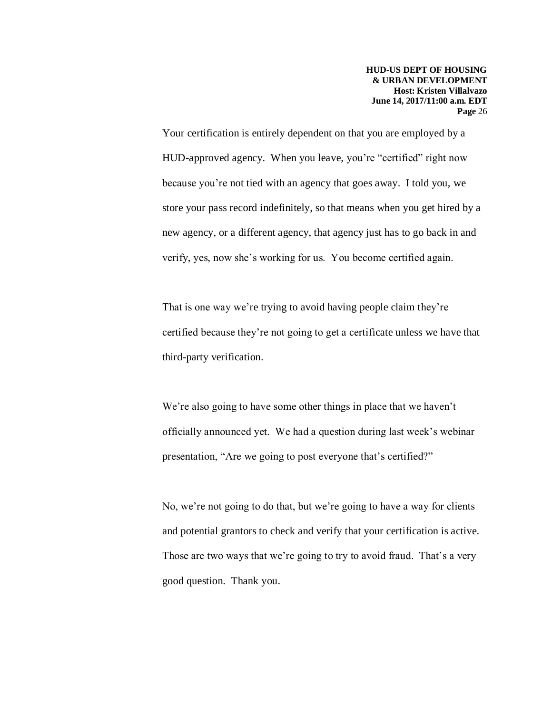Your certification is entirely dependent on that you are employed by a HUD-approved agency. When you leave, you're "certified" right now because you're not tied with an agency that goes away. I told you, we store your pass record indefinitely, so that means when you get hired by a new agency, or a different agency, that agency just has to go back in and verify, yes, now she's working for us. You become certified again.

That is one way we're trying to avoid having people claim they're certified because they're not going to get a certificate unless we have that third-party verification.

We're also going to have some other things in place that we haven't officially announced yet. We had a question during last week's webinar presentation, "Are we going to post everyone that's certified?"

No, we're not going to do that, but we're going to have a way for clients and potential grantors to check and verify that your certification is active. Those are two ways that we're going to try to avoid fraud. That's a very good question. Thank you.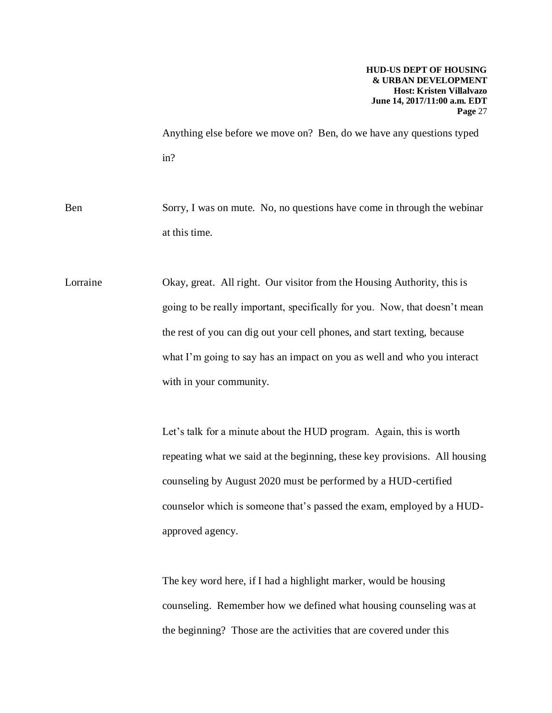Anything else before we move on? Ben, do we have any questions typed in?

Ben Sorry, I was on mute. No, no questions have come in through the webinar at this time.

Lorraine Okay, great. All right. Our visitor from the Housing Authority, this is going to be really important, specifically for you. Now, that doesn't mean the rest of you can dig out your cell phones, and start texting, because what I'm going to say has an impact on you as well and who you interact with in your community.

> Let's talk for a minute about the HUD program. Again, this is worth repeating what we said at the beginning, these key provisions. All housing counseling by August 2020 must be performed by a HUD-certified counselor which is someone that's passed the exam, employed by a HUDapproved agency.

The key word here, if I had a highlight marker, would be housing counseling. Remember how we defined what housing counseling was at the beginning? Those are the activities that are covered under this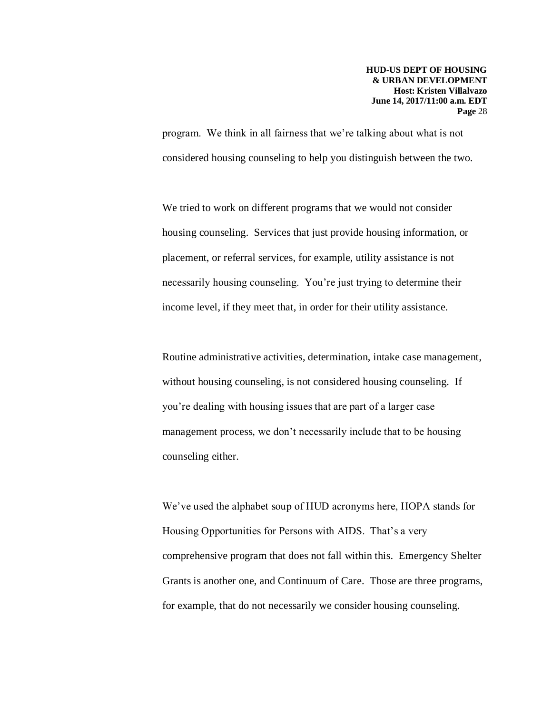program. We think in all fairness that we're talking about what is not considered housing counseling to help you distinguish between the two.

We tried to work on different programs that we would not consider housing counseling. Services that just provide housing information, or placement, or referral services, for example, utility assistance is not necessarily housing counseling. You're just trying to determine their income level, if they meet that, in order for their utility assistance.

Routine administrative activities, determination, intake case management, without housing counseling, is not considered housing counseling. If you're dealing with housing issues that are part of a larger case management process, we don't necessarily include that to be housing counseling either.

We've used the alphabet soup of HUD acronyms here, HOPA stands for Housing Opportunities for Persons with AIDS. That's a very comprehensive program that does not fall within this. Emergency Shelter Grants is another one, and Continuum of Care. Those are three programs, for example, that do not necessarily we consider housing counseling.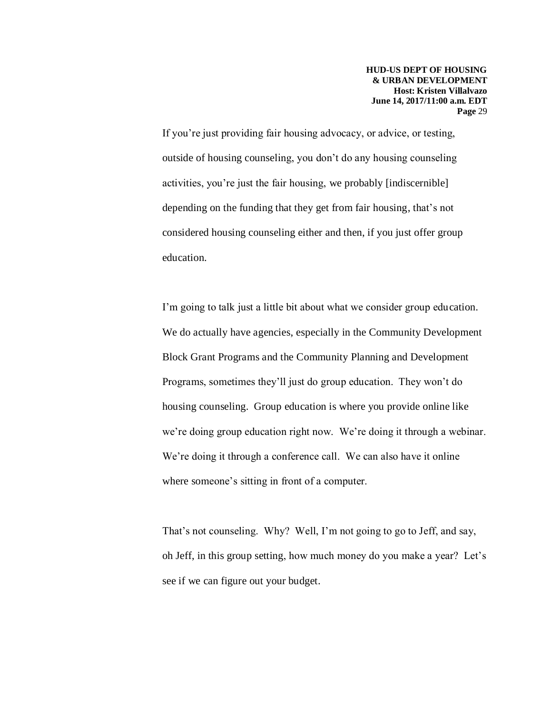If you're just providing fair housing advocacy, or advice, or testing, outside of housing counseling, you don't do any housing counseling activities, you're just the fair housing, we probably [indiscernible] depending on the funding that they get from fair housing, that's not considered housing counseling either and then, if you just offer group education.

I'm going to talk just a little bit about what we consider group education. We do actually have agencies, especially in the Community Development Block Grant Programs and the Community Planning and Development Programs, sometimes they'll just do group education. They won't do housing counseling. Group education is where you provide online like we're doing group education right now. We're doing it through a webinar. We're doing it through a conference call. We can also have it online where someone's sitting in front of a computer.

That's not counseling. Why? Well, I'm not going to go to Jeff, and say, oh Jeff, in this group setting, how much money do you make a year? Let's see if we can figure out your budget.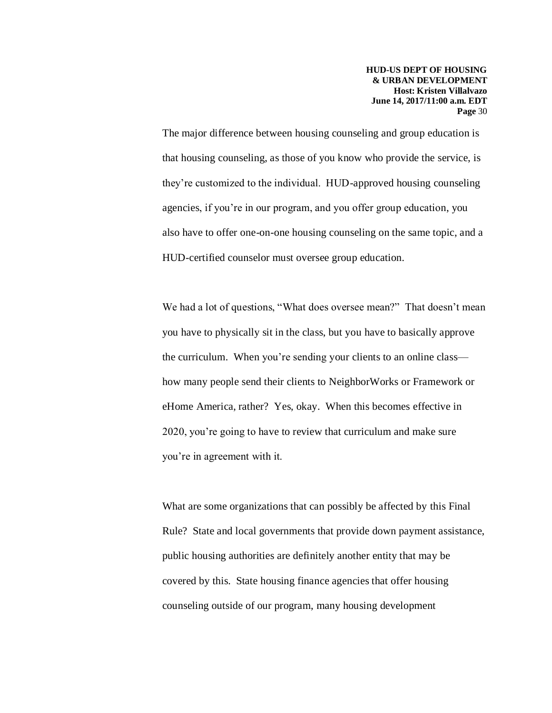The major difference between housing counseling and group education is that housing counseling, as those of you know who provide the service, is they're customized to the individual. HUD-approved housing counseling agencies, if you're in our program, and you offer group education, you also have to offer one-on-one housing counseling on the same topic, and a HUD-certified counselor must oversee group education.

We had a lot of questions, "What does oversee mean?" That doesn't mean you have to physically sit in the class, but you have to basically approve the curriculum. When you're sending your clients to an online class how many people send their clients to NeighborWorks or Framework or eHome America, rather? Yes, okay. When this becomes effective in 2020, you're going to have to review that curriculum and make sure you're in agreement with it.

What are some organizations that can possibly be affected by this Final Rule? State and local governments that provide down payment assistance, public housing authorities are definitely another entity that may be covered by this. State housing finance agencies that offer housing counseling outside of our program, many housing development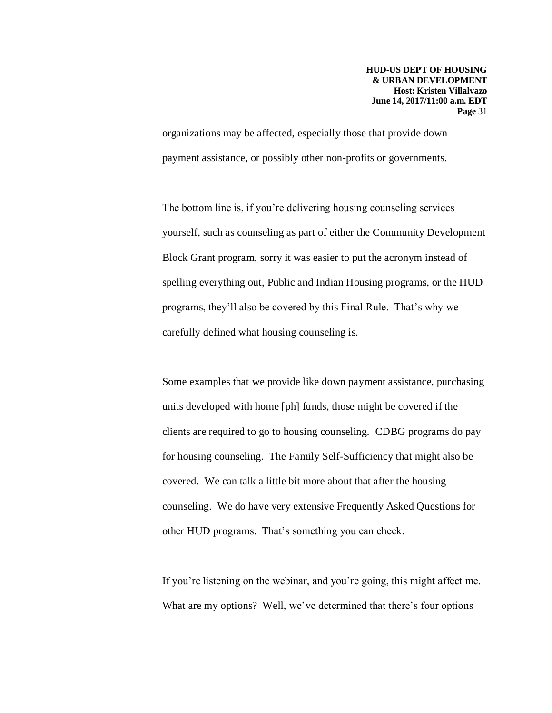organizations may be affected, especially those that provide down payment assistance, or possibly other non-profits or governments.

The bottom line is, if you're delivering housing counseling services yourself, such as counseling as part of either the Community Development Block Grant program, sorry it was easier to put the acronym instead of spelling everything out, Public and Indian Housing programs, or the HUD programs, they'll also be covered by this Final Rule. That's why we carefully defined what housing counseling is.

Some examples that we provide like down payment assistance, purchasing units developed with home [ph] funds, those might be covered if the clients are required to go to housing counseling. CDBG programs do pay for housing counseling. The Family Self-Sufficiency that might also be covered. We can talk a little bit more about that after the housing counseling. We do have very extensive Frequently Asked Questions for other HUD programs. That's something you can check.

If you're listening on the webinar, and you're going, this might affect me. What are my options? Well, we've determined that there's four options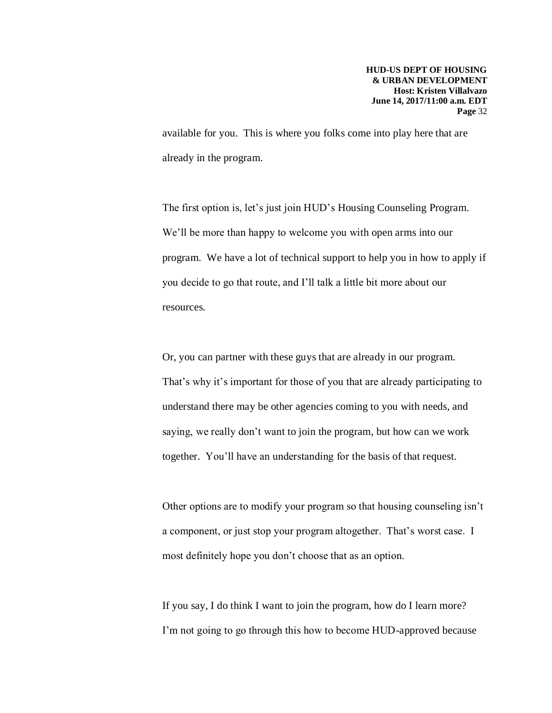available for you. This is where you folks come into play here that are already in the program.

The first option is, let's just join HUD's Housing Counseling Program. We'll be more than happy to welcome you with open arms into our program. We have a lot of technical support to help you in how to apply if you decide to go that route, and I'll talk a little bit more about our resources.

Or, you can partner with these guys that are already in our program. That's why it's important for those of you that are already participating to understand there may be other agencies coming to you with needs, and saying, we really don't want to join the program, but how can we work together. You'll have an understanding for the basis of that request.

Other options are to modify your program so that housing counseling isn't a component, or just stop your program altogether. That's worst case. I most definitely hope you don't choose that as an option.

If you say, I do think I want to join the program, how do I learn more? I'm not going to go through this how to become HUD-approved because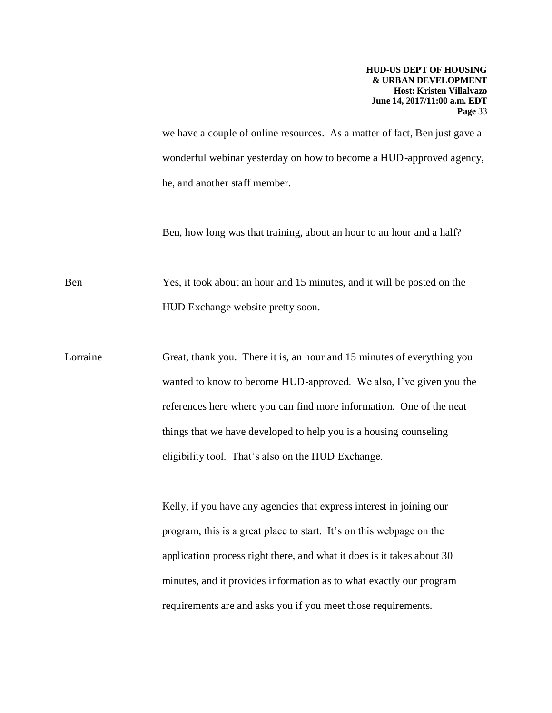we have a couple of online resources. As a matter of fact, Ben just gave a wonderful webinar yesterday on how to become a HUD-approved agency, he, and another staff member.

Ben, how long was that training, about an hour to an hour and a half?

Ben Yes, it took about an hour and 15 minutes, and it will be posted on the HUD Exchange website pretty soon.

Lorraine Great, thank you. There it is, an hour and 15 minutes of everything you wanted to know to become HUD-approved. We also, I've given you the references here where you can find more information. One of the neat things that we have developed to help you is a housing counseling eligibility tool. That's also on the HUD Exchange.

> Kelly, if you have any agencies that express interest in joining our program, this is a great place to start. It's on this webpage on the application process right there, and what it does is it takes about 30 minutes, and it provides information as to what exactly our program requirements are and asks you if you meet those requirements.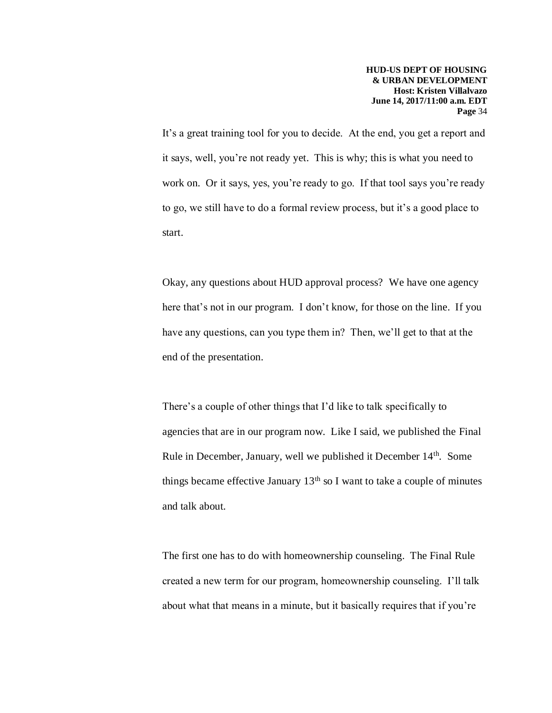It's a great training tool for you to decide. At the end, you get a report and it says, well, you're not ready yet. This is why; this is what you need to work on. Or it says, yes, you're ready to go. If that tool says you're ready to go, we still have to do a formal review process, but it's a good place to start.

Okay, any questions about HUD approval process? We have one agency here that's not in our program. I don't know, for those on the line. If you have any questions, can you type them in? Then, we'll get to that at the end of the presentation.

There's a couple of other things that I'd like to talk specifically to agencies that are in our program now. Like I said, we published the Final Rule in December, January, well we published it December 14th. Some things became effective January  $13<sup>th</sup>$  so I want to take a couple of minutes and talk about.

The first one has to do with homeownership counseling. The Final Rule created a new term for our program, homeownership counseling. I'll talk about what that means in a minute, but it basically requires that if you're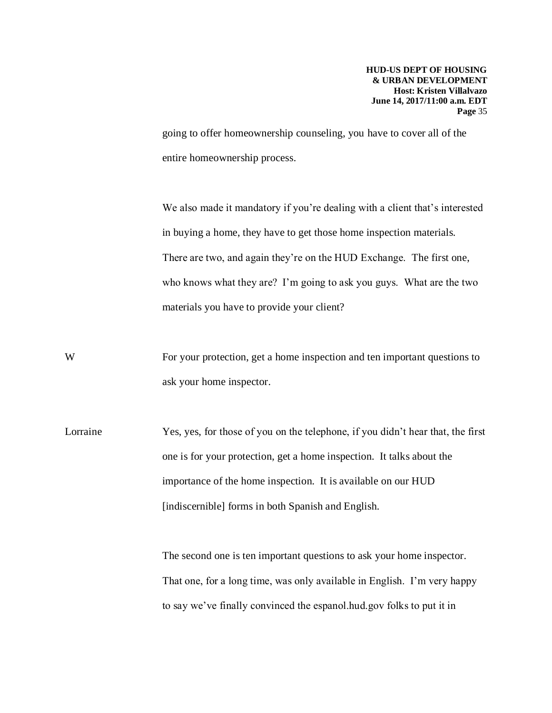going to offer homeownership counseling, you have to cover all of the entire homeownership process.

We also made it mandatory if you're dealing with a client that's interested in buying a home, they have to get those home inspection materials. There are two, and again they're on the HUD Exchange. The first one, who knows what they are? I'm going to ask you guys. What are the two materials you have to provide your client?

W For your protection, get a home inspection and ten important questions to ask your home inspector.

Lorraine Yes, yes, for those of you on the telephone, if you didn't hear that, the first one is for your protection, get a home inspection. It talks about the importance of the home inspection. It is available on our HUD [indiscernible] forms in both Spanish and English.

> The second one is ten important questions to ask your home inspector. That one, for a long time, was only available in English. I'm very happy to say we've finally convinced the espanol.hud.gov folks to put it in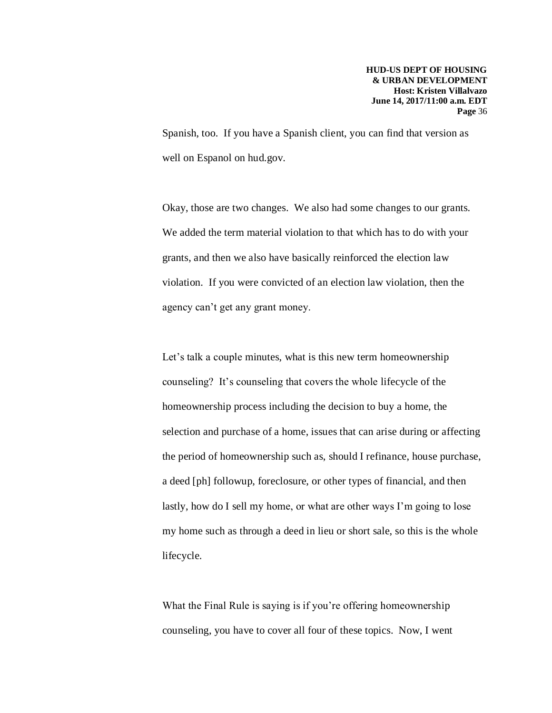Spanish, too. If you have a Spanish client, you can find that version as well on Espanol on hud.gov.

Okay, those are two changes. We also had some changes to our grants. We added the term material violation to that which has to do with your grants, and then we also have basically reinforced the election law violation. If you were convicted of an election law violation, then the agency can't get any grant money.

Let's talk a couple minutes, what is this new term homeownership counseling? It's counseling that covers the whole lifecycle of the homeownership process including the decision to buy a home, the selection and purchase of a home, issues that can arise during or affecting the period of homeownership such as, should I refinance, house purchase, a deed [ph] followup, foreclosure, or other types of financial, and then lastly, how do I sell my home, or what are other ways I'm going to lose my home such as through a deed in lieu or short sale, so this is the whole lifecycle.

What the Final Rule is saying is if you're offering homeownership counseling, you have to cover all four of these topics. Now, I went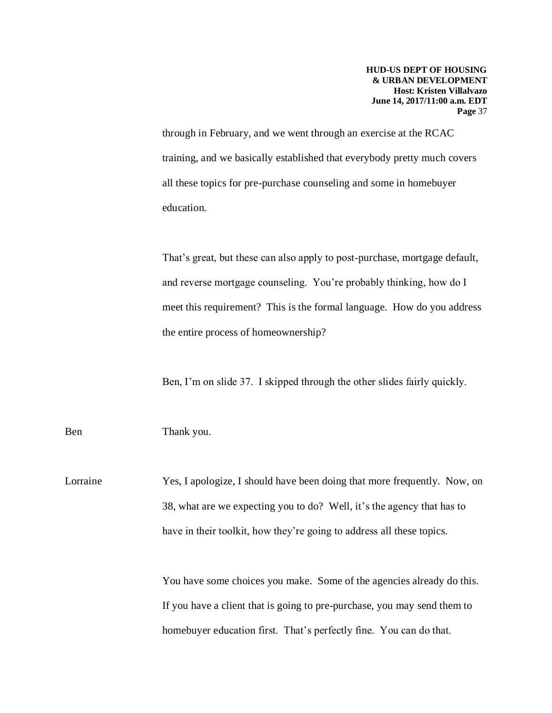through in February, and we went through an exercise at the RCAC training, and we basically established that everybody pretty much covers all these topics for pre-purchase counseling and some in homebuyer education.

That's great, but these can also apply to post-purchase, mortgage default, and reverse mortgage counseling. You're probably thinking, how do I meet this requirement? This is the formal language. How do you address the entire process of homeownership?

Ben, I'm on slide 37. I skipped through the other slides fairly quickly.

Ben Thank you.

Lorraine Yes, I apologize, I should have been doing that more frequently. Now, on 38, what are we expecting you to do? Well, it's the agency that has to have in their toolkit, how they're going to address all these topics.

> You have some choices you make. Some of the agencies already do this. If you have a client that is going to pre-purchase, you may send them to homebuyer education first. That's perfectly fine. You can do that.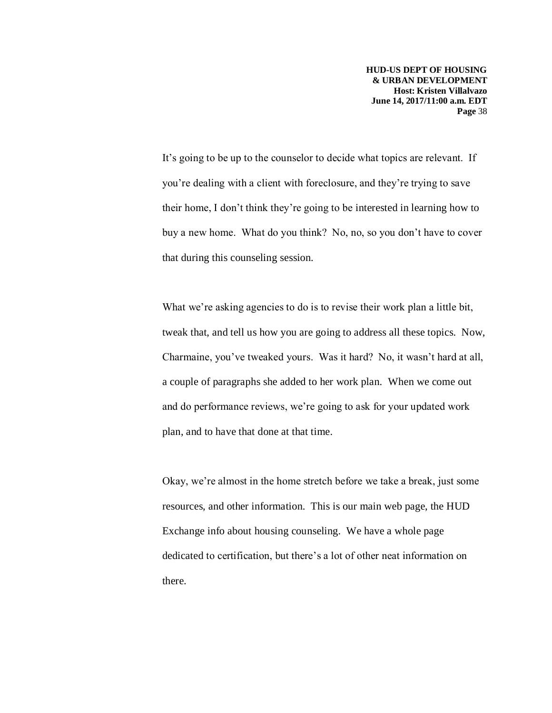It's going to be up to the counselor to decide what topics are relevant. If you're dealing with a client with foreclosure, and they're trying to save their home, I don't think they're going to be interested in learning how to buy a new home. What do you think? No, no, so you don't have to cover that during this counseling session.

What we're asking agencies to do is to revise their work plan a little bit, tweak that, and tell us how you are going to address all these topics. Now, Charmaine, you've tweaked yours. Was it hard? No, it wasn't hard at all, a couple of paragraphs she added to her work plan. When we come out and do performance reviews, we're going to ask for your updated work plan, and to have that done at that time.

Okay, we're almost in the home stretch before we take a break, just some resources, and other information. This is our main web page, the HUD Exchange info about housing counseling. We have a whole page dedicated to certification, but there's a lot of other neat information on there.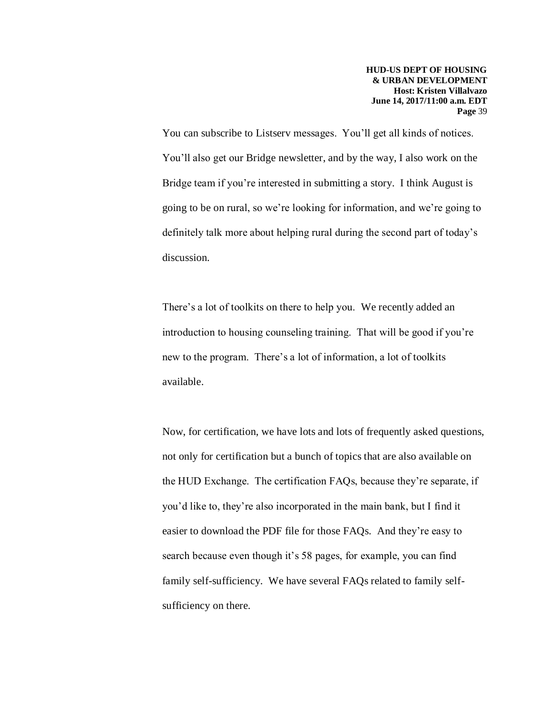You can subscribe to Listserv messages. You'll get all kinds of notices. You'll also get our Bridge newsletter, and by the way, I also work on the Bridge team if you're interested in submitting a story. I think August is going to be on rural, so we're looking for information, and we're going to definitely talk more about helping rural during the second part of today's discussion.

There's a lot of toolkits on there to help you. We recently added an introduction to housing counseling training. That will be good if you're new to the program. There's a lot of information, a lot of toolkits available.

Now, for certification, we have lots and lots of frequently asked questions, not only for certification but a bunch of topics that are also available on the HUD Exchange. The certification FAQs, because they're separate, if you'd like to, they're also incorporated in the main bank, but I find it easier to download the PDF file for those FAQs. And they're easy to search because even though it's 58 pages, for example, you can find family self-sufficiency. We have several FAQs related to family selfsufficiency on there.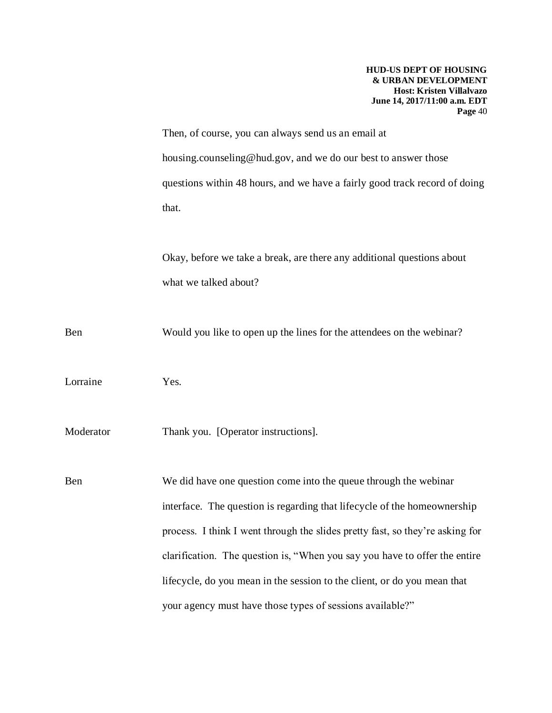Then, of course, you can always send us an email at housing.counseling@hud.gov, and we do our best to answer those questions within 48 hours, and we have a fairly good track record of doing that.

Okay, before we take a break, are there any additional questions about what we talked about?

Ben Would you like to open up the lines for the attendees on the webinar?

Lorraine Yes.

Moderator Thank you. [Operator instructions].

Ben We did have one question come into the queue through the webinar interface. The question is regarding that lifecycle of the homeownership process. I think I went through the slides pretty fast, so they're asking for clarification. The question is, "When you say you have to offer the entire lifecycle, do you mean in the session to the client, or do you mean that your agency must have those types of sessions available?"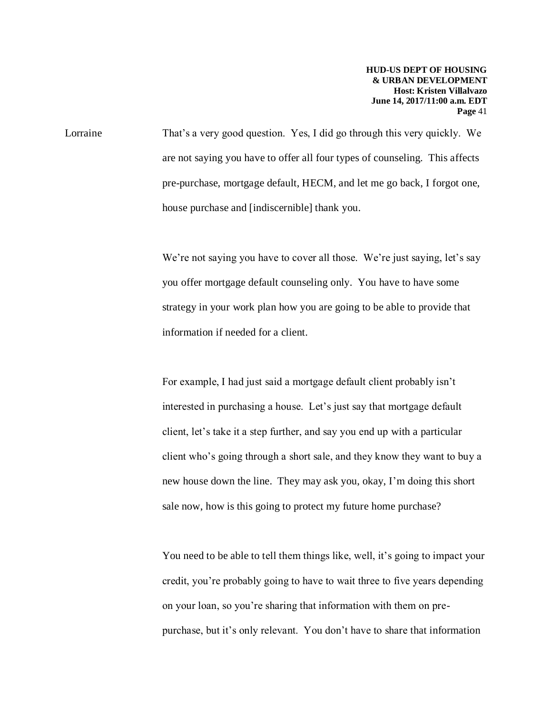Lorraine That's a very good question. Yes, I did go through this very quickly. We are not saying you have to offer all four types of counseling. This affects pre-purchase, mortgage default, HECM, and let me go back, I forgot one, house purchase and [indiscernible] thank you.

> We're not saying you have to cover all those. We're just saying, let's say you offer mortgage default counseling only. You have to have some strategy in your work plan how you are going to be able to provide that information if needed for a client.

> For example, I had just said a mortgage default client probably isn't interested in purchasing a house. Let's just say that mortgage default client, let's take it a step further, and say you end up with a particular client who's going through a short sale, and they know they want to buy a new house down the line. They may ask you, okay, I'm doing this short sale now, how is this going to protect my future home purchase?

> You need to be able to tell them things like, well, it's going to impact your credit, you're probably going to have to wait three to five years depending on your loan, so you're sharing that information with them on prepurchase, but it's only relevant. You don't have to share that information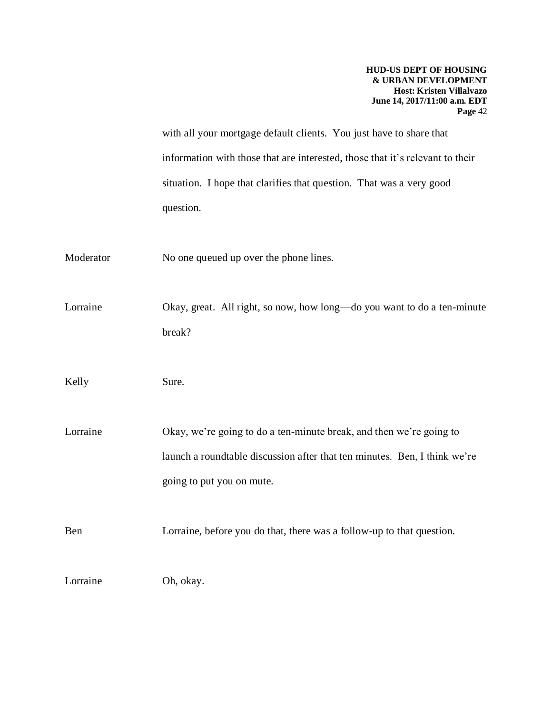with all your mortgage default clients. You just have to share that information with those that are interested, those that it's relevant to their situation. I hope that clarifies that question. That was a very good question.

Moderator No one queued up over the phone lines.

Lorraine Okay, great. All right, so now, how long—do you want to do a ten-minute break?

Kelly Sure.

Lorraine Okay, we're going to do a ten-minute break, and then we're going to launch a roundtable discussion after that ten minutes. Ben, I think we're going to put you on mute.

Ben Lorraine, before you do that, there was a follow-up to that question.

Lorraine Oh, okay.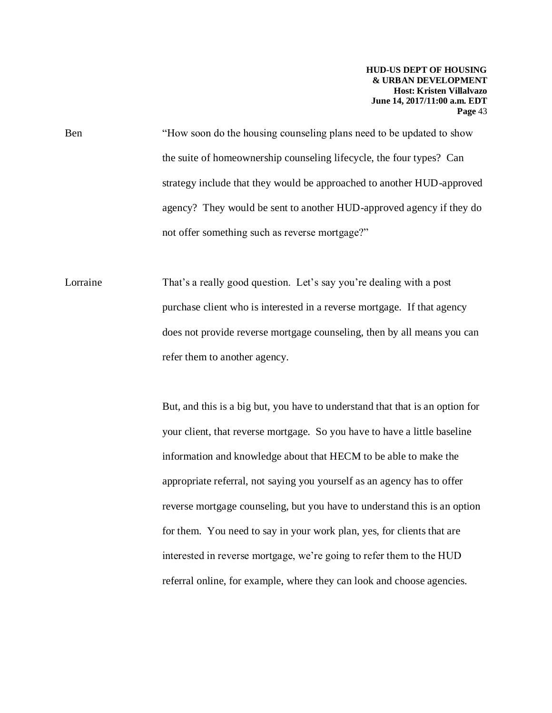Ben "How soon do the housing counseling plans need to be updated to show the suite of homeownership counseling lifecycle, the four types? Can strategy include that they would be approached to another HUD-approved agency? They would be sent to another HUD-approved agency if they do not offer something such as reverse mortgage?"

Lorraine That's a really good question. Let's say you're dealing with a post purchase client who is interested in a reverse mortgage. If that agency does not provide reverse mortgage counseling, then by all means you can refer them to another agency.

> But, and this is a big but, you have to understand that that is an option for your client, that reverse mortgage. So you have to have a little baseline information and knowledge about that HECM to be able to make the appropriate referral, not saying you yourself as an agency has to offer reverse mortgage counseling, but you have to understand this is an option for them. You need to say in your work plan, yes, for clients that are interested in reverse mortgage, we're going to refer them to the HUD referral online, for example, where they can look and choose agencies.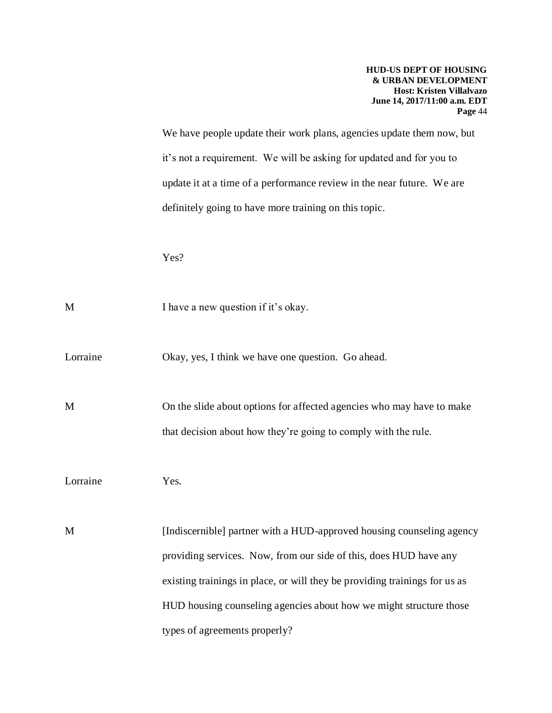We have people update their work plans, agencies update them now, but it's not a requirement. We will be asking for updated and for you to update it at a time of a performance review in the near future. We are definitely going to have more training on this topic.

Yes?

M I have a new question if it's okay.

Lorraine Okay, yes, I think we have one question. Go ahead.

M On the slide about options for affected agencies who may have to make that decision about how they're going to comply with the rule.

Lorraine Yes.

M [Indiscernible] partner with a HUD-approved housing counseling agency providing services. Now, from our side of this, does HUD have any existing trainings in place, or will they be providing trainings for us as HUD housing counseling agencies about how we might structure those types of agreements properly?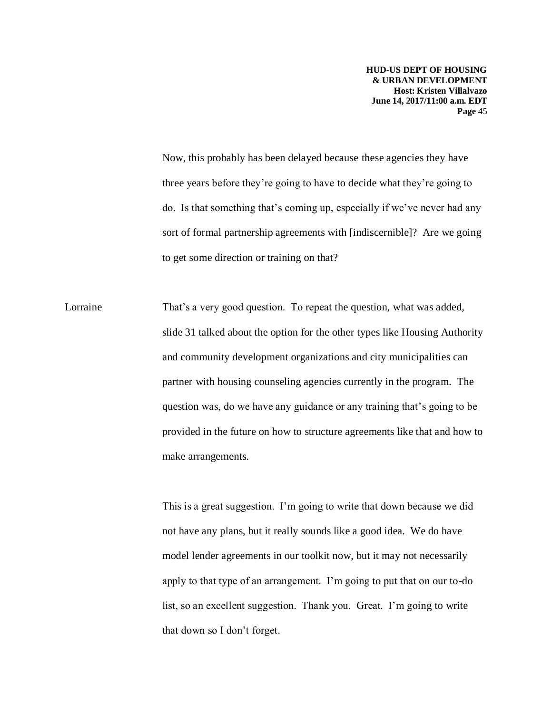Now, this probably has been delayed because these agencies they have three years before they're going to have to decide what they're going to do. Is that something that's coming up, especially if we've never had any sort of formal partnership agreements with [indiscernible]? Are we going to get some direction or training on that?

Lorraine That's a very good question. To repeat the question, what was added, slide 31 talked about the option for the other types like Housing Authority and community development organizations and city municipalities can partner with housing counseling agencies currently in the program. The question was, do we have any guidance or any training that's going to be provided in the future on how to structure agreements like that and how to make arrangements.

> This is a great suggestion. I'm going to write that down because we did not have any plans, but it really sounds like a good idea. We do have model lender agreements in our toolkit now, but it may not necessarily apply to that type of an arrangement. I'm going to put that on our to-do list, so an excellent suggestion. Thank you. Great. I'm going to write that down so I don't forget.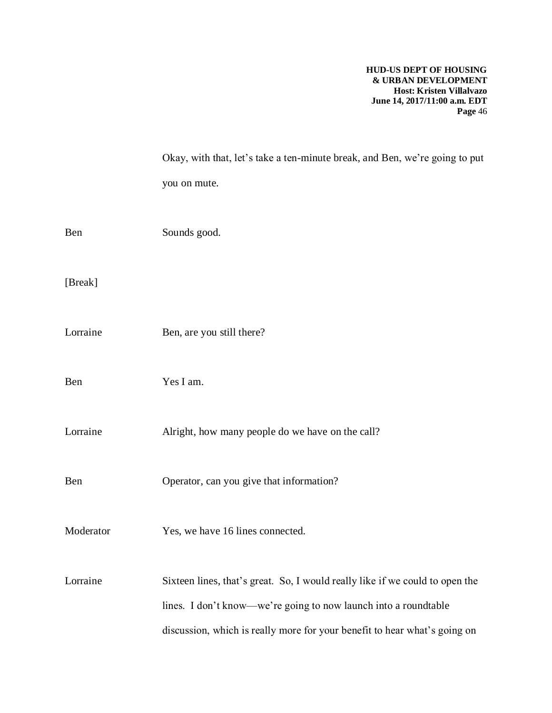|           | Okay, with that, let's take a ten-minute break, and Ben, we're going to put  |
|-----------|------------------------------------------------------------------------------|
|           | you on mute.                                                                 |
|           |                                                                              |
| Ben       | Sounds good.                                                                 |
|           |                                                                              |
| [Break]   |                                                                              |
|           |                                                                              |
| Lorraine  | Ben, are you still there?                                                    |
|           |                                                                              |
| Ben       | Yes I am.                                                                    |
|           |                                                                              |
| Lorraine  | Alright, how many people do we have on the call?                             |
|           |                                                                              |
| Ben       | Operator, can you give that information?                                     |
|           |                                                                              |
| Moderator | Yes, we have 16 lines connected.                                             |
|           |                                                                              |
| Lorraine  | Sixteen lines, that's great. So, I would really like if we could to open the |
|           | lines. I don't know—we're going to now launch into a roundtable              |
|           | discussion, which is really more for your benefit to hear what's going on    |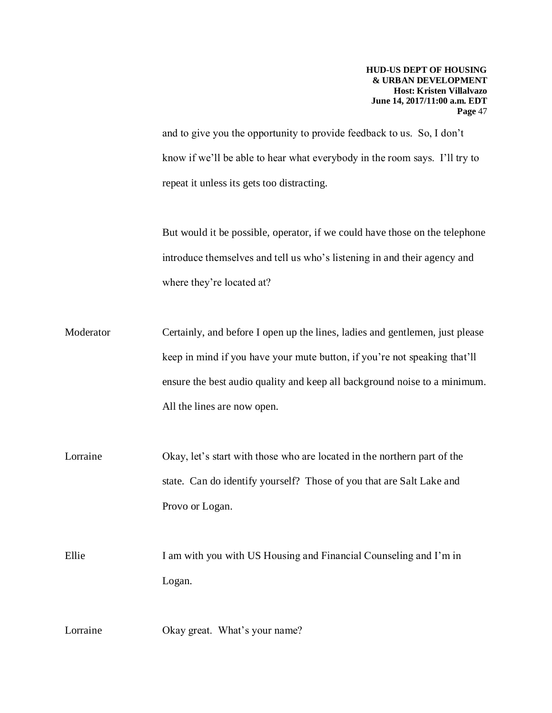and to give you the opportunity to provide feedback to us. So, I don't know if we'll be able to hear what everybody in the room says. I'll try to repeat it unless its gets too distracting.

But would it be possible, operator, if we could have those on the telephone introduce themselves and tell us who's listening in and their agency and where they're located at?

Moderator Certainly, and before I open up the lines, ladies and gentlemen, just please keep in mind if you have your mute button, if you're not speaking that'll ensure the best audio quality and keep all background noise to a minimum. All the lines are now open.

Lorraine Okay, let's start with those who are located in the northern part of the state. Can do identify yourself? Those of you that are Salt Lake and Provo or Logan.

Ellie I am with you with US Housing and Financial Counseling and I'm in Logan.

Lorraine Okay great. What's your name?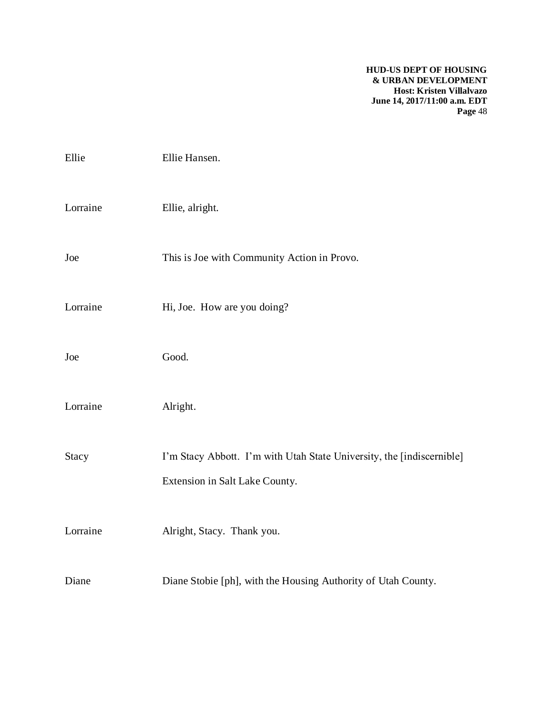| Ellie        | Ellie Hansen.                                                                                           |
|--------------|---------------------------------------------------------------------------------------------------------|
| Lorraine     | Ellie, alright.                                                                                         |
| Joe          | This is Joe with Community Action in Provo.                                                             |
| Lorraine     | Hi, Joe. How are you doing?                                                                             |
| Joe          | Good.                                                                                                   |
| Lorraine     | Alright.                                                                                                |
| <b>Stacy</b> | I'm Stacy Abbott. I'm with Utah State University, the [indiscernible]<br>Extension in Salt Lake County. |
| Lorraine     | Alright, Stacy. Thank you.                                                                              |
| Diane        | Diane Stobie [ph], with the Housing Authority of Utah County.                                           |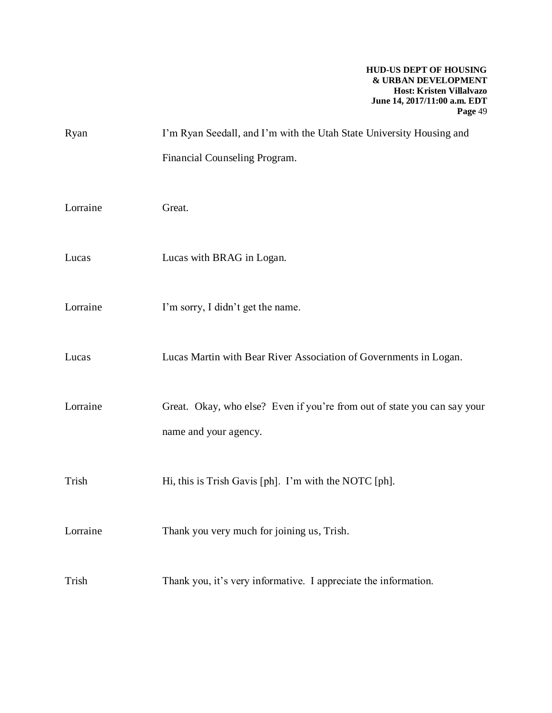| Ryan     | I'm Ryan Seedall, and I'm with the Utah State University Housing and     |
|----------|--------------------------------------------------------------------------|
|          | Financial Counseling Program.                                            |
|          |                                                                          |
| Lorraine | Great.                                                                   |
|          |                                                                          |
| Lucas    | Lucas with BRAG in Logan.                                                |
|          |                                                                          |
| Lorraine | I'm sorry, I didn't get the name.                                        |
|          |                                                                          |
| Lucas    | Lucas Martin with Bear River Association of Governments in Logan.        |
| Lorraine | Great. Okay, who else? Even if you're from out of state you can say your |
|          | name and your agency.                                                    |
|          |                                                                          |
| Trish    | Hi, this is Trish Gavis [ph]. I'm with the NOTC [ph].                    |
|          |                                                                          |
| Lorraine | Thank you very much for joining us, Trish.                               |
|          |                                                                          |
| Trish    | Thank you, it's very informative. I appreciate the information.          |
|          |                                                                          |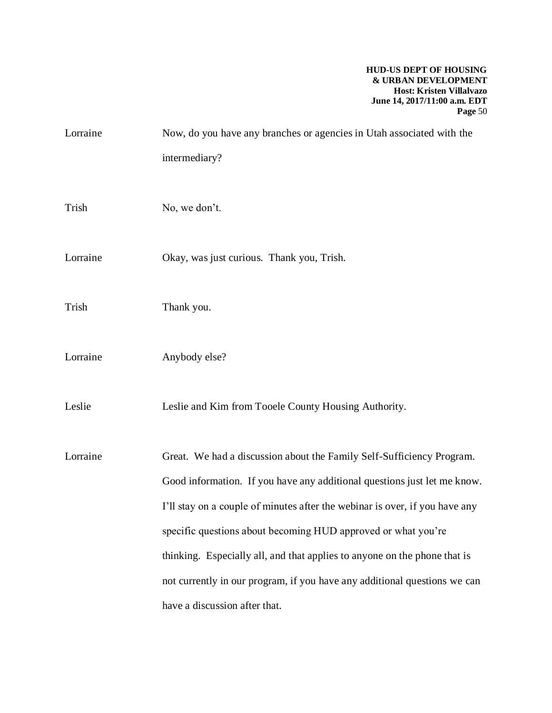| Lorraine | Now, do you have any branches or agencies in Utah associated with the                                                                                                                                                                                                                                                                                                                                                                                       |
|----------|-------------------------------------------------------------------------------------------------------------------------------------------------------------------------------------------------------------------------------------------------------------------------------------------------------------------------------------------------------------------------------------------------------------------------------------------------------------|
|          | intermediary?                                                                                                                                                                                                                                                                                                                                                                                                                                               |
| Trish    | No, we don't.                                                                                                                                                                                                                                                                                                                                                                                                                                               |
| Lorraine | Okay, was just curious. Thank you, Trish.                                                                                                                                                                                                                                                                                                                                                                                                                   |
| Trish    | Thank you.                                                                                                                                                                                                                                                                                                                                                                                                                                                  |
| Lorraine | Anybody else?                                                                                                                                                                                                                                                                                                                                                                                                                                               |
| Leslie   | Leslie and Kim from Tooele County Housing Authority.                                                                                                                                                                                                                                                                                                                                                                                                        |
| Lorraine | Great. We had a discussion about the Family Self-Sufficiency Program.<br>Good information. If you have any additional questions just let me know.<br>I'll stay on a couple of minutes after the webinar is over, if you have any<br>specific questions about becoming HUD approved or what you're<br>thinking. Especially all, and that applies to anyone on the phone that is<br>not currently in our program, if you have any additional questions we can |
|          | have a discussion after that.                                                                                                                                                                                                                                                                                                                                                                                                                               |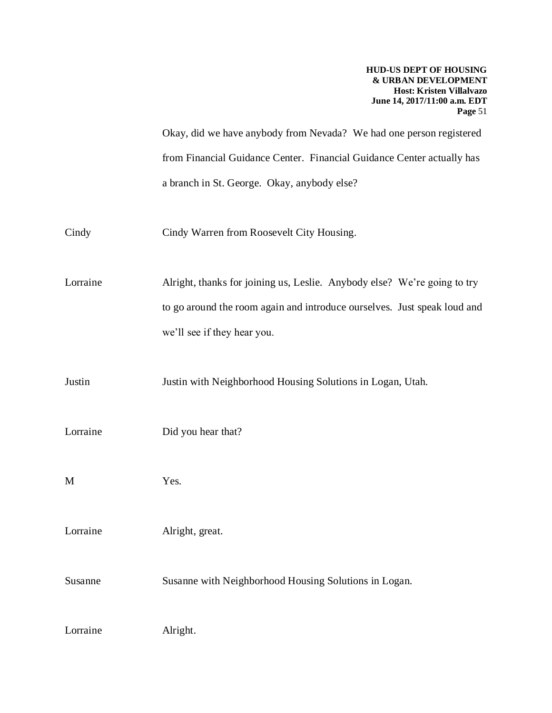Okay, did we have anybody from Nevada? We had one person registered from Financial Guidance Center. Financial Guidance Center actually has a branch in St. George. Okay, anybody else?

Cindy Cindy Warren from Roosevelt City Housing.

Lorraine Alright, thanks for joining us, Leslie. Anybody else? We're going to try to go around the room again and introduce ourselves. Just speak loud and we'll see if they hear you.

Justin Justin with Neighborhood Housing Solutions in Logan, Utah.

Lorraine Did you hear that?

M Yes.

Lorraine Alright, great.

Susanne Susanne with Neighborhood Housing Solutions in Logan.

Lorraine Alright.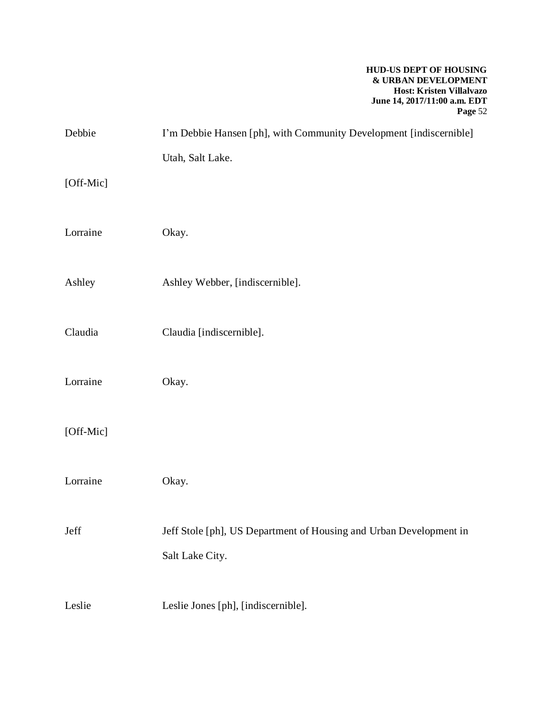| Debbie    | I'm Debbie Hansen [ph], with Community Development [indiscernible] |
|-----------|--------------------------------------------------------------------|
|           | Utah, Salt Lake.                                                   |
| [Off-Mic] |                                                                    |
|           |                                                                    |
| Lorraine  | Okay.                                                              |
|           |                                                                    |
| Ashley    | Ashley Webber, [indiscernible].                                    |
| Claudia   | Claudia [indiscernible].                                           |
|           |                                                                    |
| Lorraine  | Okay.                                                              |
|           |                                                                    |
| [Off-Mic] |                                                                    |
|           |                                                                    |
| Lorraine  | Okay.                                                              |
|           |                                                                    |
| Jeff      | Jeff Stole [ph], US Department of Housing and Urban Development in |
|           | Salt Lake City.                                                    |
| Leslie    | Leslie Jones [ph], [indiscernible].                                |
|           |                                                                    |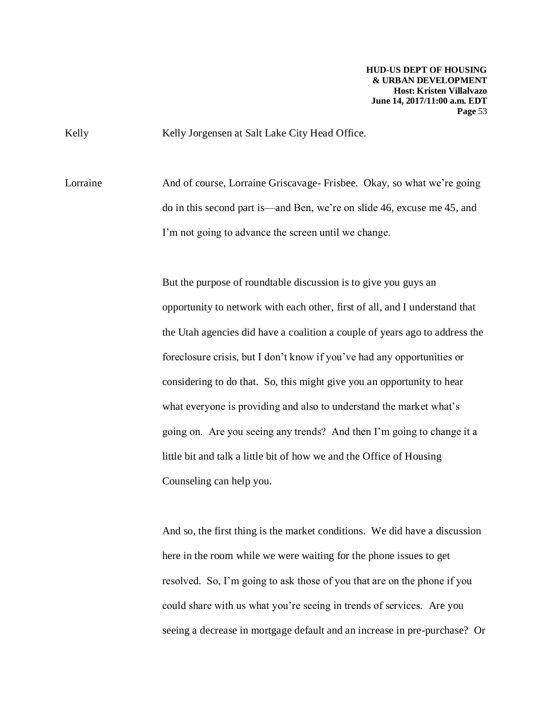Kelly Kelly Jorgensen at Salt Lake City Head Office.

Lorraine And of course, Lorraine Griscavage- Frisbee. Okay, so what we're going do in this second part is—and Ben, we're on slide 46, excuse me 45, and I'm not going to advance the screen until we change.

> But the purpose of roundtable discussion is to give you guys an opportunity to network with each other, first of all, and I understand that the Utah agencies did have a coalition a couple of years ago to address the foreclosure crisis, but I don't know if you've had any opportunities or considering to do that. So, this might give you an opportunity to hear what everyone is providing and also to understand the market what's going on. Are you seeing any trends? And then I'm going to change it a little bit and talk a little bit of how we and the Office of Housing Counseling can help you.

> And so, the first thing is the market conditions. We did have a discussion here in the room while we were waiting for the phone issues to get resolved. So, I'm going to ask those of you that are on the phone if you could share with us what you're seeing in trends of services. Are you seeing a decrease in mortgage default and an increase in pre-purchase? Or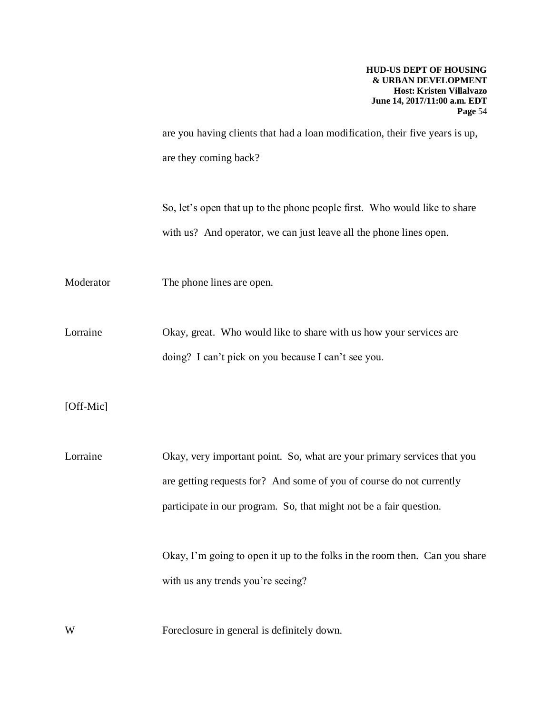are you having clients that had a loan modification, their five years is up, are they coming back?

So, let's open that up to the phone people first. Who would like to share with us? And operator, we can just leave all the phone lines open.

Moderator The phone lines are open.

Lorraine Okay, great. Who would like to share with us how your services are doing? I can't pick on you because I can't see you.

[Off-Mic]

Lorraine Okay, very important point. So, what are your primary services that you are getting requests for? And some of you of course do not currently participate in our program. So, that might not be a fair question.

> Okay, I'm going to open it up to the folks in the room then. Can you share with us any trends you're seeing?

W Foreclosure in general is definitely down.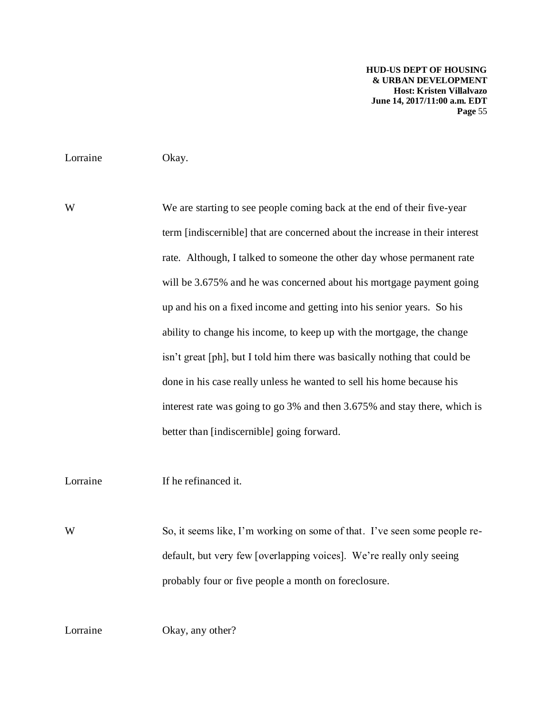Lorraine Okay.

We are starting to see people coming back at the end of their five-year term [indiscernible] that are concerned about the increase in their interest rate. Although, I talked to someone the other day whose permanent rate will be 3.675% and he was concerned about his mortgage payment going up and his on a fixed income and getting into his senior years. So his ability to change his income, to keep up with the mortgage, the change isn't great [ph], but I told him there was basically nothing that could be done in his case really unless he wanted to sell his home because his interest rate was going to go 3% and then 3.675% and stay there, which is better than [indiscernible] going forward.

Lorraine If he refinanced it.

W So, it seems like, I'm working on some of that. I've seen some people redefault, but very few [overlapping voices]. We're really only seeing probably four or five people a month on foreclosure.

Lorraine Okay, any other?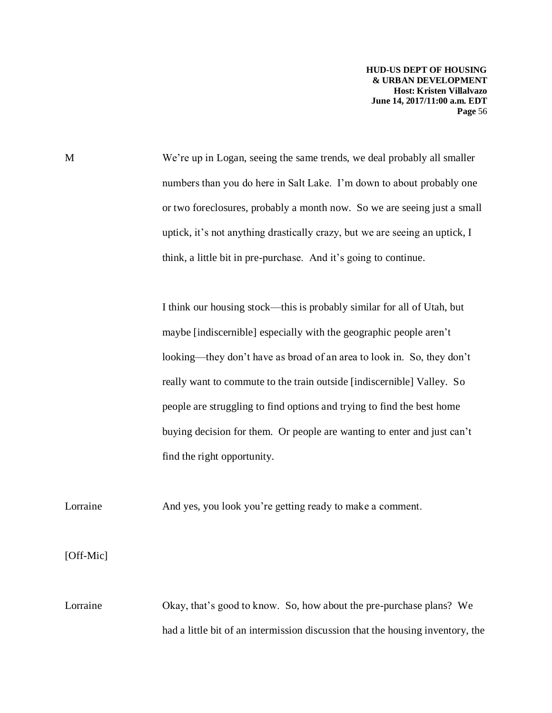M We're up in Logan, seeing the same trends, we deal probably all smaller numbers than you do here in Salt Lake. I'm down to about probably one or two foreclosures, probably a month now. So we are seeing just a small uptick, it's not anything drastically crazy, but we are seeing an uptick, I think, a little bit in pre-purchase. And it's going to continue.

> I think our housing stock—this is probably similar for all of Utah, but maybe [indiscernible] especially with the geographic people aren't looking—they don't have as broad of an area to look in. So, they don't really want to commute to the train outside [indiscernible] Valley. So people are struggling to find options and trying to find the best home buying decision for them. Or people are wanting to enter and just can't find the right opportunity.

Lorraine And yes, you look you're getting ready to make a comment.

[Off-Mic]

Lorraine Okay, that's good to know. So, how about the pre-purchase plans? We had a little bit of an intermission discussion that the housing inventory, the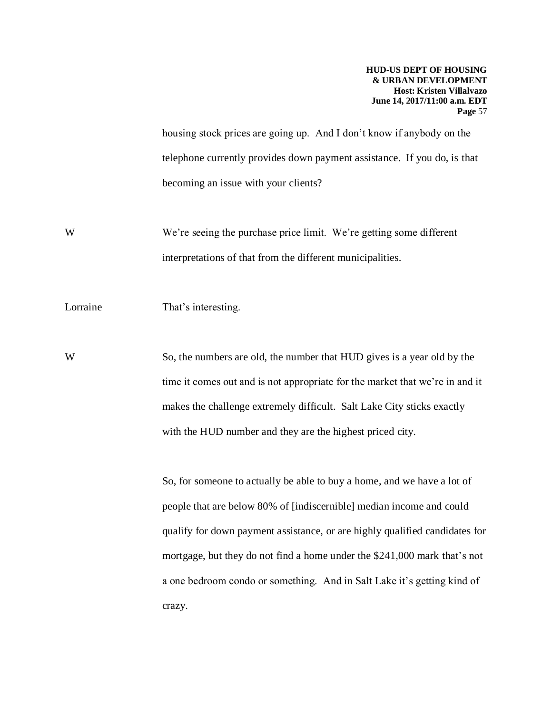housing stock prices are going up. And I don't know if anybody on the telephone currently provides down payment assistance. If you do, is that becoming an issue with your clients?

We're seeing the purchase price limit. We're getting some different interpretations of that from the different municipalities.

Lorraine That's interesting.

W So, the numbers are old, the number that HUD gives is a year old by the time it comes out and is not appropriate for the market that we're in and it makes the challenge extremely difficult. Salt Lake City sticks exactly with the HUD number and they are the highest priced city.

> So, for someone to actually be able to buy a home, and we have a lot of people that are below 80% of [indiscernible] median income and could qualify for down payment assistance, or are highly qualified candidates for mortgage, but they do not find a home under the \$241,000 mark that's not a one bedroom condo or something. And in Salt Lake it's getting kind of crazy.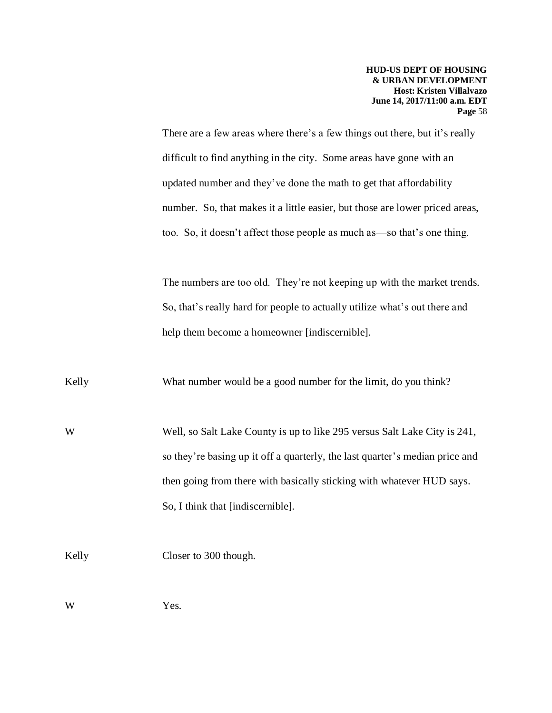There are a few areas where there's a few things out there, but it's really difficult to find anything in the city. Some areas have gone with an updated number and they've done the math to get that affordability number. So, that makes it a little easier, but those are lower priced areas, too. So, it doesn't affect those people as much as—so that's one thing.

The numbers are too old. They're not keeping up with the market trends. So, that's really hard for people to actually utilize what's out there and help them become a homeowner [indiscernible].

Kelly What number would be a good number for the limit, do you think?

Well, so Salt Lake County is up to like 295 versus Salt Lake City is 241, so they're basing up it off a quarterly, the last quarter's median price and then going from there with basically sticking with whatever HUD says. So, I think that [indiscernible].

Kelly Closer to 300 though.

W Yes.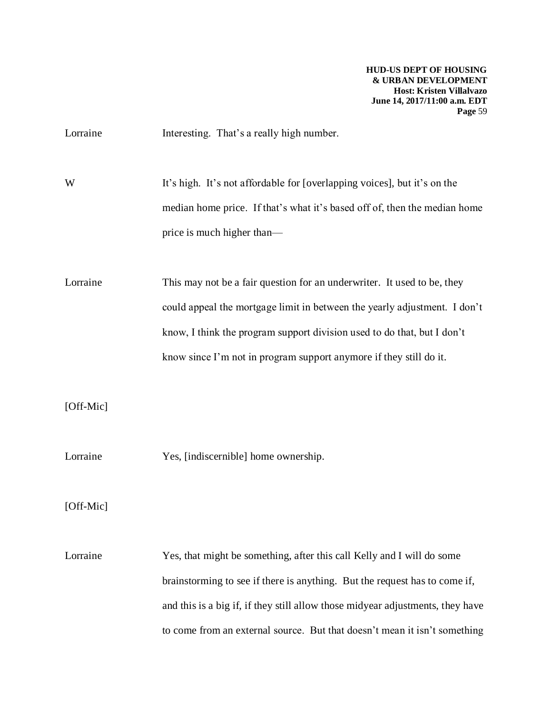Lorraine Interesting. That's a really high number.

W It's high. It's not affordable for [overlapping voices], but it's on the median home price. If that's what it's based off of, then the median home price is much higher than—

Lorraine This may not be a fair question for an underwriter. It used to be, they could appeal the mortgage limit in between the yearly adjustment. I don't know, I think the program support division used to do that, but I don't know since I'm not in program support anymore if they still do it.

[Off-Mic]

Lorraine Yes, [indiscernible] home ownership.

[Off-Mic]

Lorraine Yes, that might be something, after this call Kelly and I will do some brainstorming to see if there is anything. But the request has to come if, and this is a big if, if they still allow those midyear adjustments, they have to come from an external source. But that doesn't mean it isn't something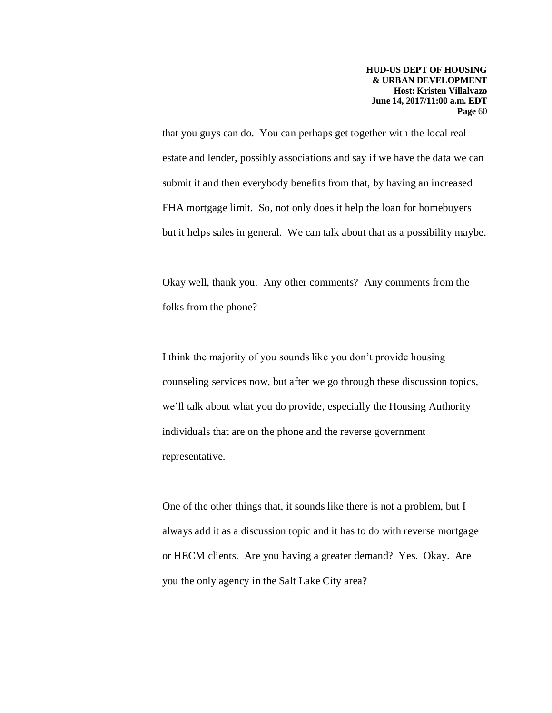that you guys can do. You can perhaps get together with the local real estate and lender, possibly associations and say if we have the data we can submit it and then everybody benefits from that, by having an increased FHA mortgage limit. So, not only does it help the loan for homebuyers but it helps sales in general. We can talk about that as a possibility maybe.

Okay well, thank you. Any other comments? Any comments from the folks from the phone?

I think the majority of you sounds like you don't provide housing counseling services now, but after we go through these discussion topics, we'll talk about what you do provide, especially the Housing Authority individuals that are on the phone and the reverse government representative.

One of the other things that, it sounds like there is not a problem, but I always add it as a discussion topic and it has to do with reverse mortgage or HECM clients. Are you having a greater demand? Yes. Okay. Are you the only agency in the Salt Lake City area?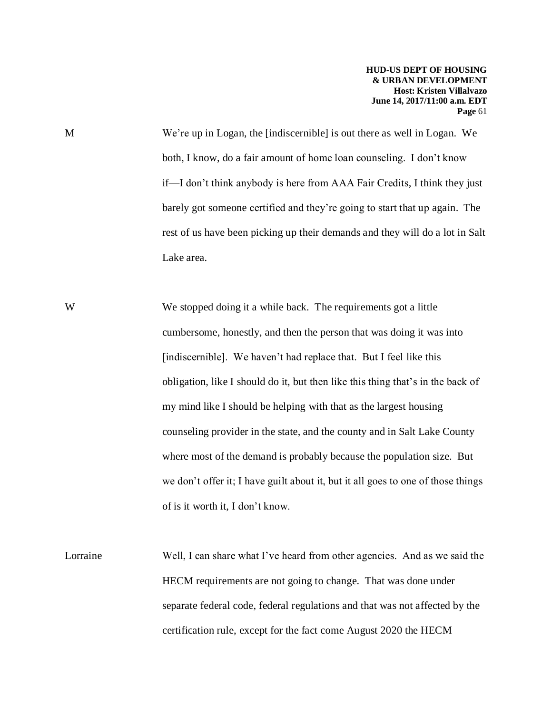M We're up in Logan, the [indiscernible] is out there as well in Logan. We both, I know, do a fair amount of home loan counseling. I don't know if—I don't think anybody is here from AAA Fair Credits, I think they just barely got someone certified and they're going to start that up again. The rest of us have been picking up their demands and they will do a lot in Salt Lake area.

We stopped doing it a while back. The requirements got a little cumbersome, honestly, and then the person that was doing it was into [indiscernible]. We haven't had replace that. But I feel like this obligation, like I should do it, but then like this thing that's in the back of my mind like I should be helping with that as the largest housing counseling provider in the state, and the county and in Salt Lake County where most of the demand is probably because the population size. But we don't offer it; I have guilt about it, but it all goes to one of those things of is it worth it, I don't know.

Lorraine Well, I can share what I've heard from other agencies. And as we said the HECM requirements are not going to change. That was done under separate federal code, federal regulations and that was not affected by the certification rule, except for the fact come August 2020 the HECM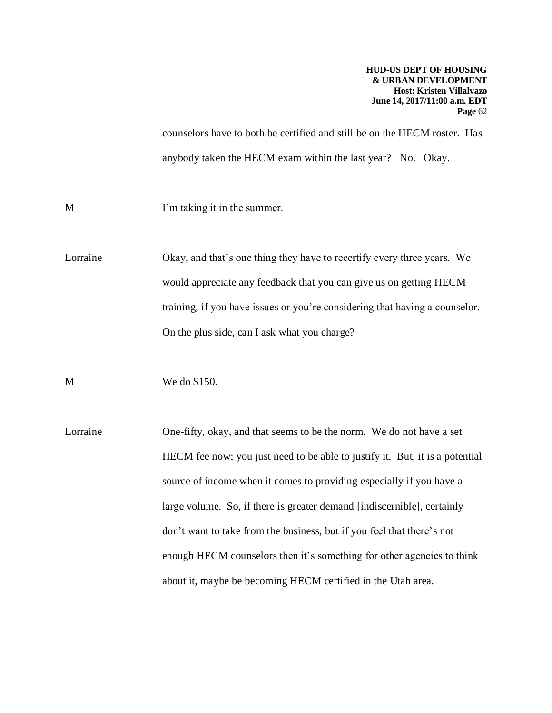counselors have to both be certified and still be on the HECM roster. Has anybody taken the HECM exam within the last year? No. Okay.

M I'm taking it in the summer.

Lorraine Okay, and that's one thing they have to recertify every three years. We would appreciate any feedback that you can give us on getting HECM training, if you have issues or you're considering that having a counselor. On the plus side, can I ask what you charge?

M We do \$150.

Lorraine One-fifty, okay, and that seems to be the norm. We do not have a set HECM fee now; you just need to be able to justify it. But, it is a potential source of income when it comes to providing especially if you have a large volume. So, if there is greater demand [indiscernible], certainly don't want to take from the business, but if you feel that there's not enough HECM counselors then it's something for other agencies to think about it, maybe be becoming HECM certified in the Utah area.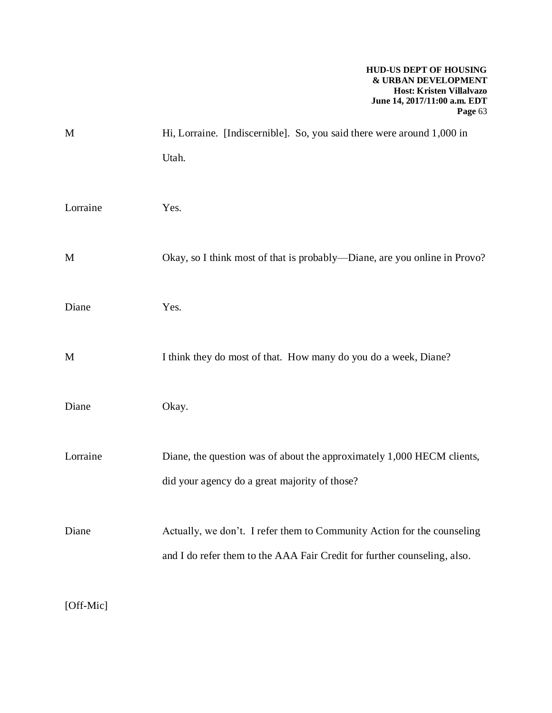| Hi, Lorraine. [Indiscernible]. So, you said there were around 1,000 in                                                                              |
|-----------------------------------------------------------------------------------------------------------------------------------------------------|
| Utah.                                                                                                                                               |
| Yes.                                                                                                                                                |
| Okay, so I think most of that is probably—Diane, are you online in Provo?                                                                           |
| Yes.                                                                                                                                                |
| I think they do most of that. How many do you do a week, Diane?                                                                                     |
| Okay.                                                                                                                                               |
| Diane, the question was of about the approximately 1,000 HECM clients,<br>did your agency do a great majority of those?                             |
| Actually, we don't. I refer them to Community Action for the counseling<br>and I do refer them to the AAA Fair Credit for further counseling, also. |
|                                                                                                                                                     |

[Off-Mic]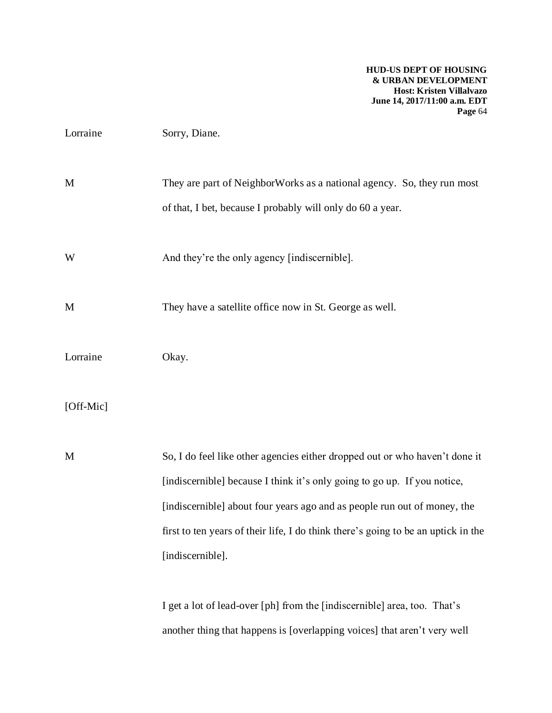| Lorraine  | Sorry, Diane.                                                                                                                                                                                                                                                                                                                                |
|-----------|----------------------------------------------------------------------------------------------------------------------------------------------------------------------------------------------------------------------------------------------------------------------------------------------------------------------------------------------|
| M         | They are part of NeighborWorks as a national agency. So, they run most<br>of that, I bet, because I probably will only do 60 a year.                                                                                                                                                                                                         |
| W         | And they're the only agency [indiscernible].                                                                                                                                                                                                                                                                                                 |
| M         | They have a satellite office now in St. George as well.                                                                                                                                                                                                                                                                                      |
| Lorraine  | Okay.                                                                                                                                                                                                                                                                                                                                        |
| [Off-Mic] |                                                                                                                                                                                                                                                                                                                                              |
| M         | So, I do feel like other agencies either dropped out or who haven't done it<br>[indiscernible] because I think it's only going to go up. If you notice,<br>[indiscernible] about four years ago and as people run out of money, the<br>first to ten years of their life, I do think there's going to be an uptick in the<br>[indiscernible]. |
|           | I get a lot of lead-over [ph] from the [indiscernible] area, too. That's<br>another thing that happens is [overlapping voices] that aren't very well                                                                                                                                                                                         |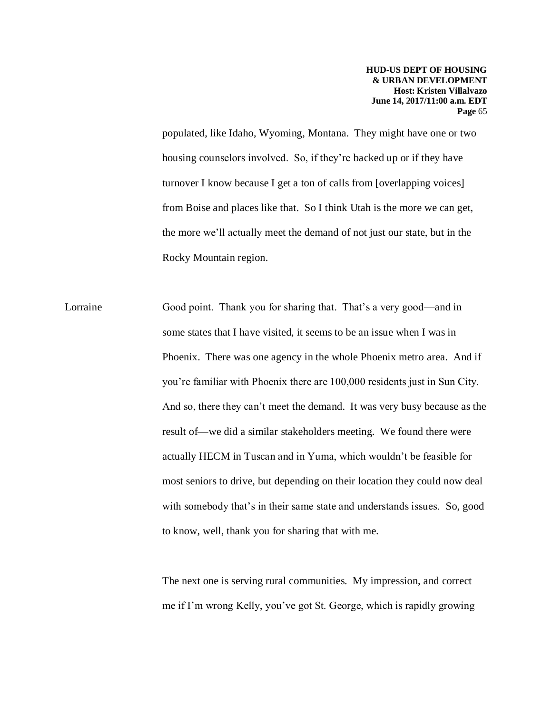populated, like Idaho, Wyoming, Montana. They might have one or two housing counselors involved. So, if they're backed up or if they have turnover I know because I get a ton of calls from [overlapping voices] from Boise and places like that. So I think Utah is the more we can get, the more we'll actually meet the demand of not just our state, but in the Rocky Mountain region.

Lorraine Good point. Thank you for sharing that. That's a very good—and in some states that I have visited, it seems to be an issue when I was in Phoenix. There was one agency in the whole Phoenix metro area. And if you're familiar with Phoenix there are 100,000 residents just in Sun City. And so, there they can't meet the demand. It was very busy because as the result of—we did a similar stakeholders meeting. We found there were actually HECM in Tuscan and in Yuma, which wouldn't be feasible for most seniors to drive, but depending on their location they could now deal with somebody that's in their same state and understands issues. So, good to know, well, thank you for sharing that with me.

> The next one is serving rural communities. My impression, and correct me if I'm wrong Kelly, you've got St. George, which is rapidly growing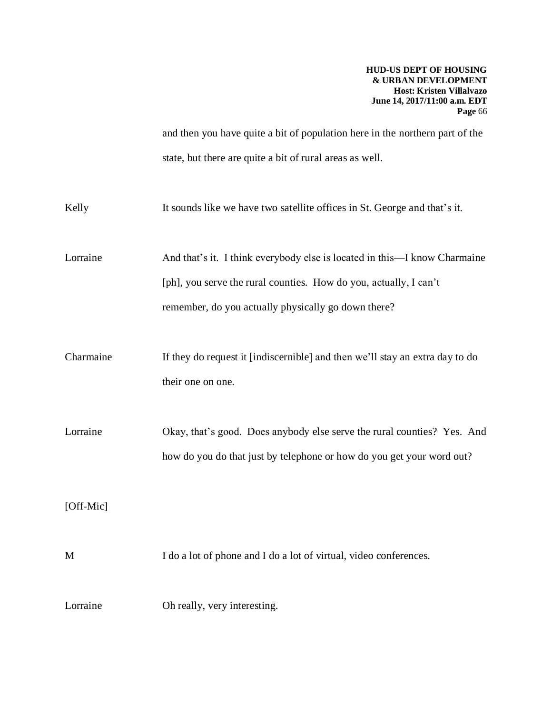and then you have quite a bit of population here in the northern part of the state, but there are quite a bit of rural areas as well.

| Kelly     | It sounds like we have two satellite offices in St. George and that's it.                                                                                                                             |
|-----------|-------------------------------------------------------------------------------------------------------------------------------------------------------------------------------------------------------|
| Lorraine  | And that's it. I think everybody else is located in this—I know Charmaine<br>[ph], you serve the rural counties. How do you, actually, I can't<br>remember, do you actually physically go down there? |
| Charmaine | If they do request it [indiscernible] and then we'll stay an extra day to do<br>their one on one.                                                                                                     |
| Lorraine  | Okay, that's good. Does anybody else serve the rural counties? Yes. And<br>how do you do that just by telephone or how do you get your word out?                                                      |
| [Off-Mic] |                                                                                                                                                                                                       |
| M         | I do a lot of phone and I do a lot of virtual, video conferences.                                                                                                                                     |
| Lorraine  | Oh really, very interesting.                                                                                                                                                                          |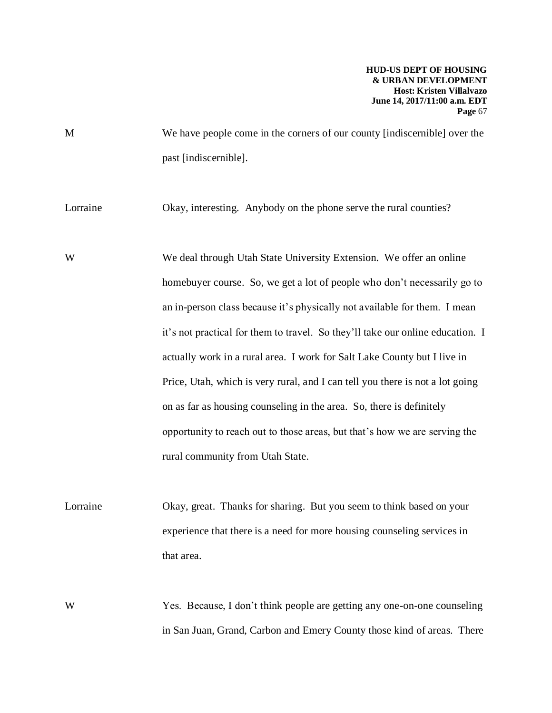M We have people come in the corners of our county [indiscernible] over the past [indiscernible].

Lorraine Okay, interesting. Anybody on the phone serve the rural counties?

We deal through Utah State University Extension. We offer an online homebuyer course. So, we get a lot of people who don't necessarily go to an in-person class because it's physically not available for them. I mean it's not practical for them to travel. So they'll take our online education. I actually work in a rural area. I work for Salt Lake County but I live in Price, Utah, which is very rural, and I can tell you there is not a lot going on as far as housing counseling in the area. So, there is definitely opportunity to reach out to those areas, but that's how we are serving the rural community from Utah State.

Lorraine Okay, great. Thanks for sharing. But you seem to think based on your experience that there is a need for more housing counseling services in that area.

W Yes. Because, I don't think people are getting any one-on-one counseling in San Juan, Grand, Carbon and Emery County those kind of areas. There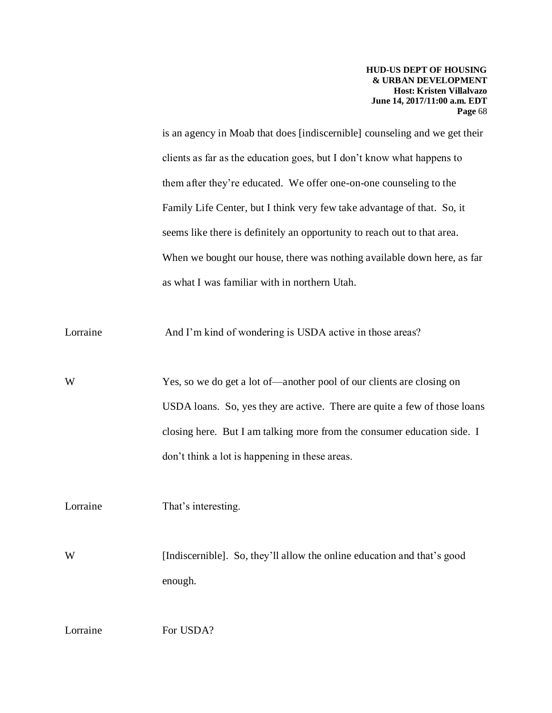is an agency in Moab that does [indiscernible] counseling and we get their clients as far as the education goes, but I don't know what happens to them after they're educated. We offer one-on-one counseling to the Family Life Center, but I think very few take advantage of that. So, it seems like there is definitely an opportunity to reach out to that area. When we bought our house, there was nothing available down here, as far as what I was familiar with in northern Utah.

Lorraine And I'm kind of wondering is USDA active in those areas?

W Yes, so we do get a lot of—another pool of our clients are closing on USDA loans. So, yes they are active. There are quite a few of those loans closing here. But I am talking more from the consumer education side. I don't think a lot is happening in these areas.

Lorraine That's interesting.

W [Indiscernible]. So, they'll allow the online education and that's good enough.

Lorraine For USDA?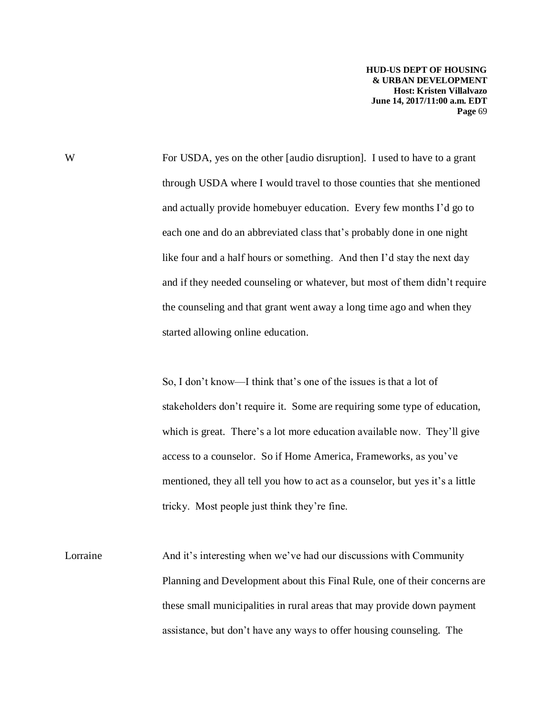W For USDA, yes on the other [audio disruption]. I used to have to a grant through USDA where I would travel to those counties that she mentioned and actually provide homebuyer education. Every few months I'd go to each one and do an abbreviated class that's probably done in one night like four and a half hours or something. And then I'd stay the next day and if they needed counseling or whatever, but most of them didn't require the counseling and that grant went away a long time ago and when they started allowing online education.

> So, I don't know—I think that's one of the issues is that a lot of stakeholders don't require it. Some are requiring some type of education, which is great. There's a lot more education available now. They'll give access to a counselor. So if Home America, Frameworks, as you've mentioned, they all tell you how to act as a counselor, but yes it's a little tricky. Most people just think they're fine.

Lorraine And it's interesting when we've had our discussions with Community Planning and Development about this Final Rule, one of their concerns are these small municipalities in rural areas that may provide down payment assistance, but don't have any ways to offer housing counseling. The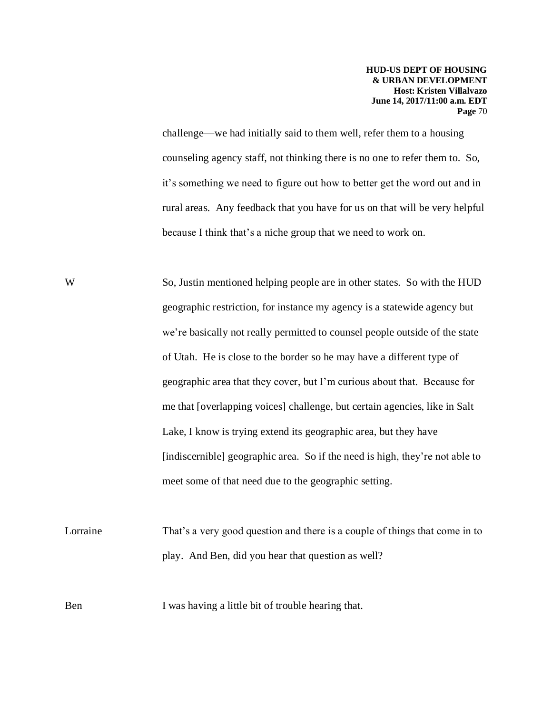challenge—we had initially said to them well, refer them to a housing counseling agency staff, not thinking there is no one to refer them to. So, it's something we need to figure out how to better get the word out and in rural areas. Any feedback that you have for us on that will be very helpful because I think that's a niche group that we need to work on.

W So, Justin mentioned helping people are in other states. So with the HUD geographic restriction, for instance my agency is a statewide agency but we're basically not really permitted to counsel people outside of the state of Utah. He is close to the border so he may have a different type of geographic area that they cover, but I'm curious about that. Because for me that [overlapping voices] challenge, but certain agencies, like in Salt Lake, I know is trying extend its geographic area, but they have [indiscernible] geographic area. So if the need is high, they're not able to meet some of that need due to the geographic setting.

Lorraine That's a very good question and there is a couple of things that come in to play. And Ben, did you hear that question as well?

Ben I was having a little bit of trouble hearing that.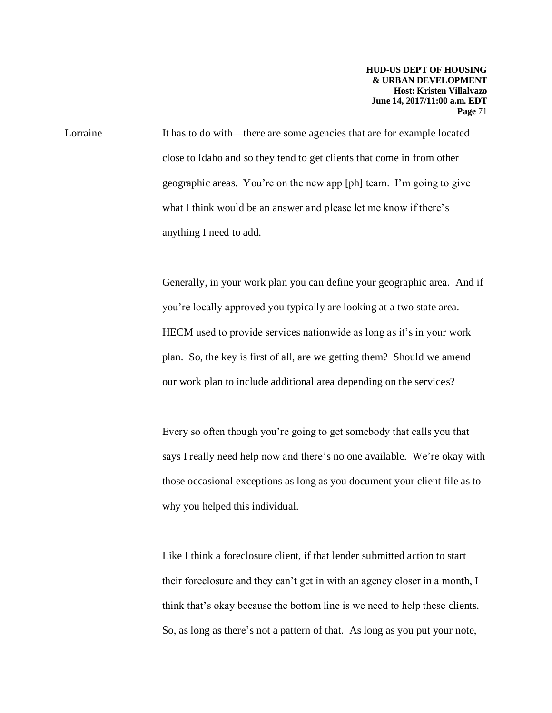Lorraine It has to do with—there are some agencies that are for example located close to Idaho and so they tend to get clients that come in from other geographic areas. You're on the new app [ph] team. I'm going to give what I think would be an answer and please let me know if there's anything I need to add.

> Generally, in your work plan you can define your geographic area. And if you're locally approved you typically are looking at a two state area. HECM used to provide services nationwide as long as it's in your work plan. So, the key is first of all, are we getting them? Should we amend our work plan to include additional area depending on the services?

> Every so often though you're going to get somebody that calls you that says I really need help now and there's no one available. We're okay with those occasional exceptions as long as you document your client file as to why you helped this individual.

Like I think a foreclosure client, if that lender submitted action to start their foreclosure and they can't get in with an agency closer in a month, I think that's okay because the bottom line is we need to help these clients. So, as long as there's not a pattern of that. As long as you put your note,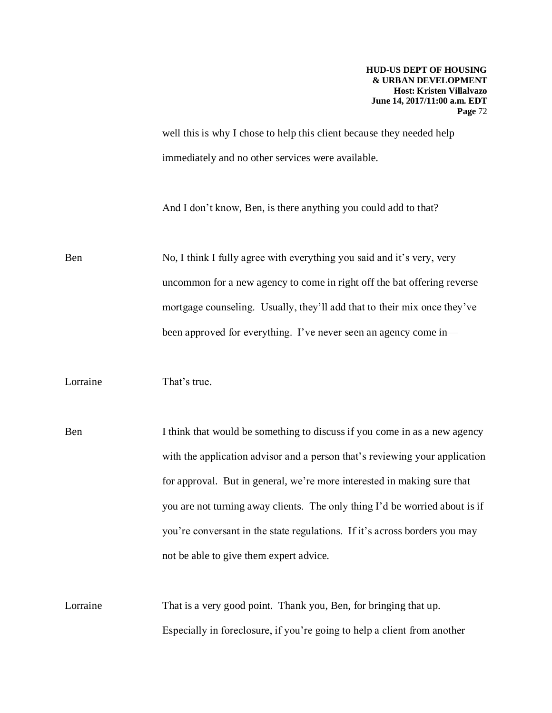well this is why I chose to help this client because they needed help immediately and no other services were available.

And I don't know, Ben, is there anything you could add to that?

Ben No, I think I fully agree with everything you said and it's very, very uncommon for a new agency to come in right off the bat offering reverse mortgage counseling. Usually, they'll add that to their mix once they've been approved for everything. I've never seen an agency come in—

Lorraine That's true.

Ben I think that would be something to discuss if you come in as a new agency with the application advisor and a person that's reviewing your application for approval. But in general, we're more interested in making sure that you are not turning away clients. The only thing I'd be worried about is if you're conversant in the state regulations. If it's across borders you may not be able to give them expert advice.

Lorraine That is a very good point. Thank you, Ben, for bringing that up. Especially in foreclosure, if you're going to help a client from another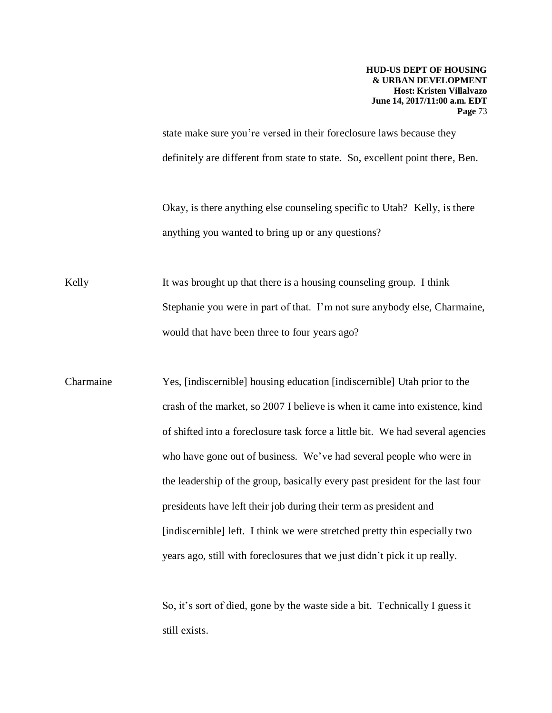state make sure you're versed in their foreclosure laws because they definitely are different from state to state. So, excellent point there, Ben.

Okay, is there anything else counseling specific to Utah? Kelly, is there anything you wanted to bring up or any questions?

Kelly It was brought up that there is a housing counseling group. I think Stephanie you were in part of that. I'm not sure anybody else, Charmaine, would that have been three to four years ago?

Charmaine Yes, [indiscernible] housing education [indiscernible] Utah prior to the crash of the market, so 2007 I believe is when it came into existence, kind of shifted into a foreclosure task force a little bit. We had several agencies who have gone out of business. We've had several people who were in the leadership of the group, basically every past president for the last four presidents have left their job during their term as president and [indiscernible] left. I think we were stretched pretty thin especially two years ago, still with foreclosures that we just didn't pick it up really.

> So, it's sort of died, gone by the waste side a bit. Technically I guess it still exists.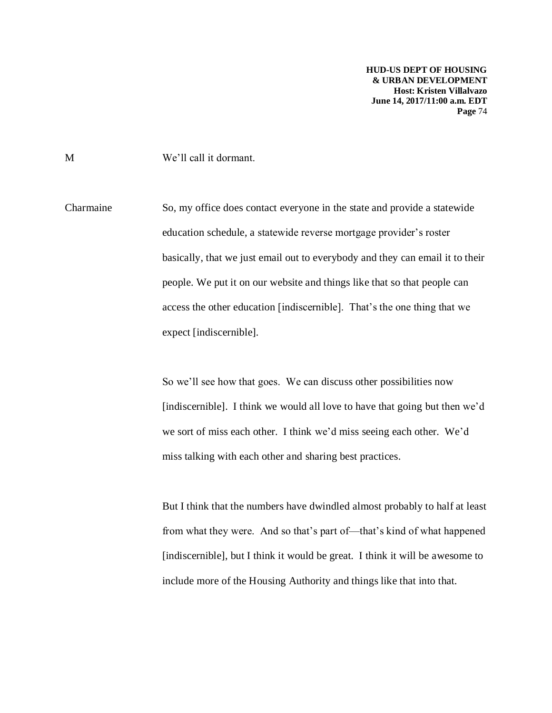M We'll call it dormant.

Charmaine So, my office does contact everyone in the state and provide a statewide education schedule, a statewide reverse mortgage provider's roster basically, that we just email out to everybody and they can email it to their people. We put it on our website and things like that so that people can access the other education [indiscernible]. That's the one thing that we expect [indiscernible].

> So we'll see how that goes. We can discuss other possibilities now [indiscernible]. I think we would all love to have that going but then we'd we sort of miss each other. I think we'd miss seeing each other. We'd miss talking with each other and sharing best practices.

> But I think that the numbers have dwindled almost probably to half at least from what they were. And so that's part of—that's kind of what happened [indiscernible], but I think it would be great. I think it will be awesome to include more of the Housing Authority and things like that into that.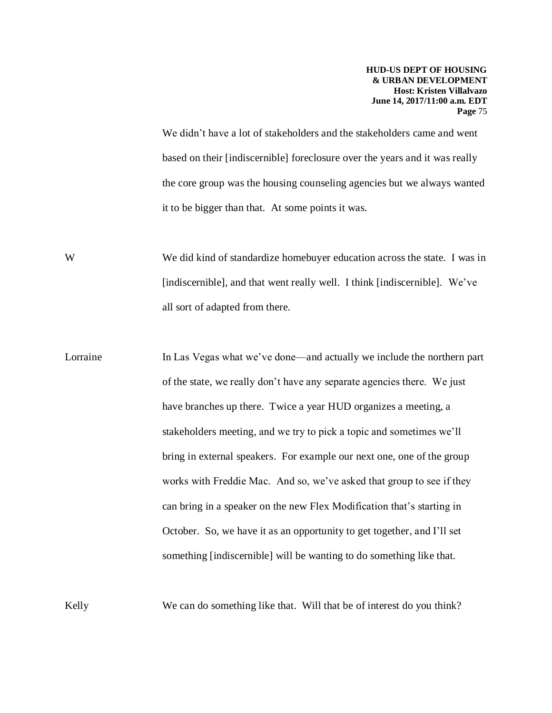We didn't have a lot of stakeholders and the stakeholders came and went based on their [indiscernible] foreclosure over the years and it was really the core group was the housing counseling agencies but we always wanted it to be bigger than that. At some points it was.

We did kind of standardize homebuyer education across the state. I was in [indiscernible], and that went really well. I think [indiscernible]. We've all sort of adapted from there.

Lorraine In Las Vegas what we've done—and actually we include the northern part of the state, we really don't have any separate agencies there. We just have branches up there. Twice a year HUD organizes a meeting, a stakeholders meeting, and we try to pick a topic and sometimes we'll bring in external speakers. For example our next one, one of the group works with Freddie Mac. And so, we've asked that group to see if they can bring in a speaker on the new Flex Modification that's starting in October. So, we have it as an opportunity to get together, and I'll set something [indiscernible] will be wanting to do something like that.

Kelly We can do something like that. Will that be of interest do you think?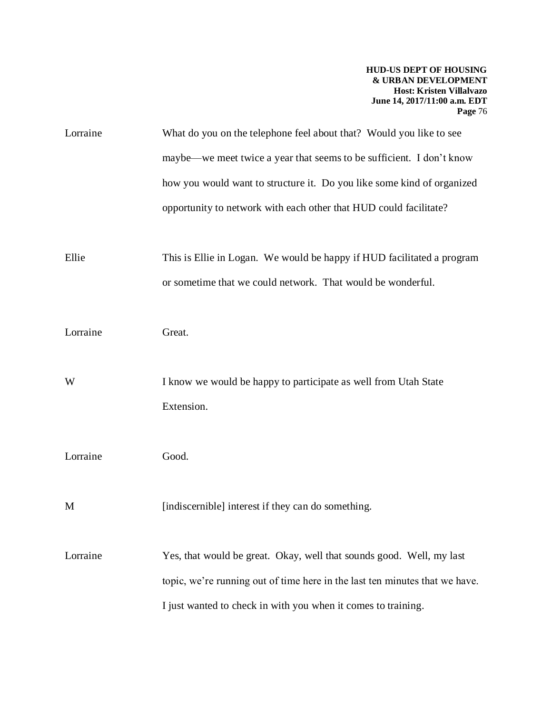| Lorraine | What do you on the telephone feel about that? Would you like to see           |
|----------|-------------------------------------------------------------------------------|
|          | maybe—we meet twice a year that seems to be sufficient. I don't know          |
|          | how you would want to structure it. Do you like some kind of organized        |
|          | opportunity to network with each other that HUD could facilitate?             |
| Ellie    | This is Ellie in Logan. We would be happy if HUD facilitated a program        |
|          | or sometime that we could network. That would be wonderful.                   |
| Lorraine | Great.                                                                        |
| W        | I know we would be happy to participate as well from Utah State<br>Extension. |
| Lorraine | Good.                                                                         |
| M        | [indiscernible] interest if they can do something.                            |
| Lorraine | Yes, that would be great. Okay, well that sounds good. Well, my last          |
|          | topic, we're running out of time here in the last ten minutes that we have.   |
|          | I just wanted to check in with you when it comes to training.                 |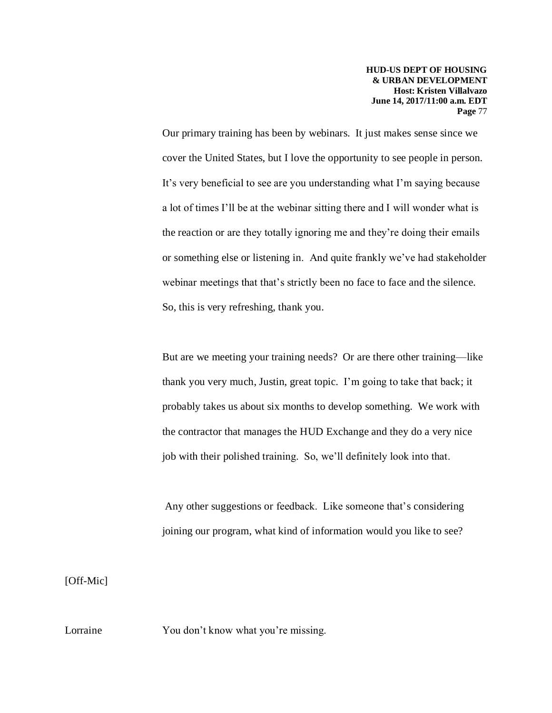Our primary training has been by webinars. It just makes sense since we cover the United States, but I love the opportunity to see people in person. It's very beneficial to see are you understanding what I'm saying because a lot of times I'll be at the webinar sitting there and I will wonder what is the reaction or are they totally ignoring me and they're doing their emails or something else or listening in. And quite frankly we've had stakeholder webinar meetings that that's strictly been no face to face and the silence. So, this is very refreshing, thank you.

But are we meeting your training needs? Or are there other training—like thank you very much, Justin, great topic. I'm going to take that back; it probably takes us about six months to develop something. We work with the contractor that manages the HUD Exchange and they do a very nice job with their polished training. So, we'll definitely look into that.

Any other suggestions or feedback. Like someone that's considering joining our program, what kind of information would you like to see?

[Off-Mic]

Lorraine You don't know what you're missing.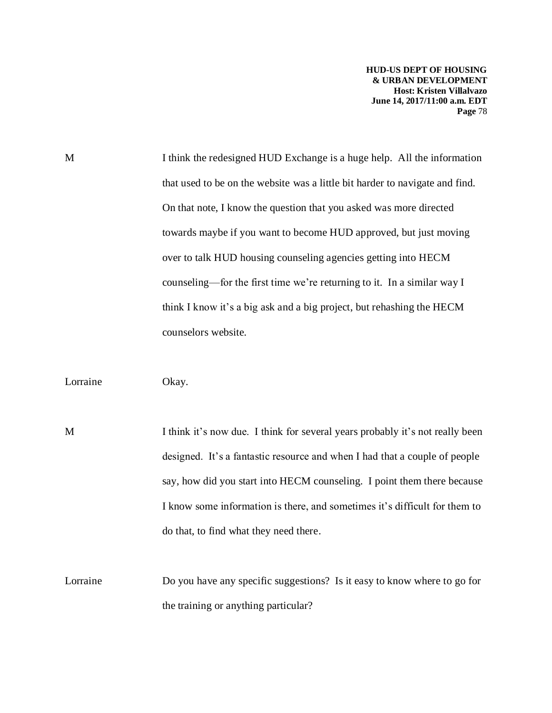M I think the redesigned HUD Exchange is a huge help. All the information that used to be on the website was a little bit harder to navigate and find. On that note, I know the question that you asked was more directed towards maybe if you want to become HUD approved, but just moving over to talk HUD housing counseling agencies getting into HECM counseling—for the first time we're returning to it. In a similar way I think I know it's a big ask and a big project, but rehashing the HECM counselors website.

Lorraine Okay.

M I think it's now due. I think for several years probably it's not really been designed. It's a fantastic resource and when I had that a couple of people say, how did you start into HECM counseling. I point them there because I know some information is there, and sometimes it's difficult for them to do that, to find what they need there.

Lorraine Do you have any specific suggestions? Is it easy to know where to go for the training or anything particular?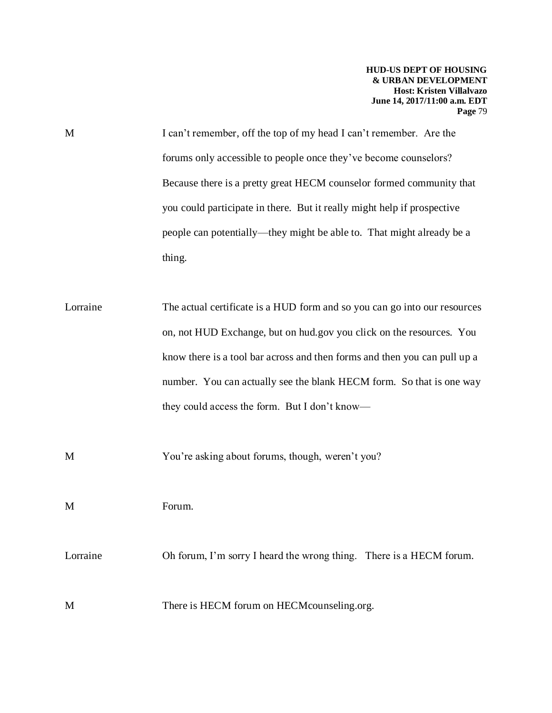| M | I can't remember, off the top of my head I can't remember. Are the      |
|---|-------------------------------------------------------------------------|
|   | forums only accessible to people once they've become counselors?        |
|   | Because there is a pretty great HECM counselor formed community that    |
|   | you could participate in there. But it really might help if prospective |
|   | people can potentially—they might be able to. That might already be a   |
|   | thing.                                                                  |

Lorraine The actual certificate is a HUD form and so you can go into our resources on, not HUD Exchange, but on hud.gov you click on the resources. You know there is a tool bar across and then forms and then you can pull up a number. You can actually see the blank HECM form. So that is one way they could access the form. But I don't know—

M You're asking about forums, though, weren't you?

M Forum.

Lorraine Oh forum, I'm sorry I heard the wrong thing. There is a HECM forum.

M There is HECM forum on HECM counseling.org.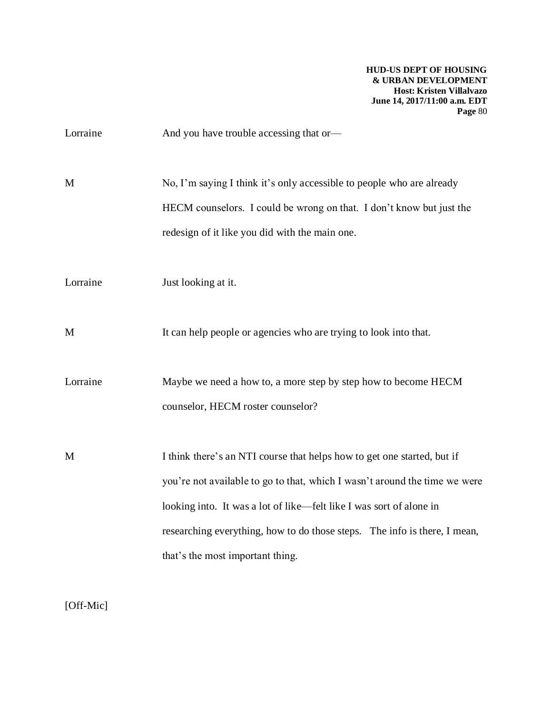| And you have trouble accessing that or-                                                                                                                                                                                                                                                                                                       |
|-----------------------------------------------------------------------------------------------------------------------------------------------------------------------------------------------------------------------------------------------------------------------------------------------------------------------------------------------|
| No, I'm saying I think it's only accessible to people who are already<br>HECM counselors. I could be wrong on that. I don't know but just the<br>redesign of it like you did with the main one.                                                                                                                                               |
| Just looking at it.                                                                                                                                                                                                                                                                                                                           |
| It can help people or agencies who are trying to look into that.                                                                                                                                                                                                                                                                              |
| Maybe we need a how to, a more step by step how to become HECM<br>counselor, HECM roster counselor?                                                                                                                                                                                                                                           |
| I think there's an NTI course that helps how to get one started, but if<br>you're not available to go to that, which I wasn't around the time we were<br>looking into. It was a lot of like—felt like I was sort of alone in<br>researching everything, how to do those steps. The info is there, I mean,<br>that's the most important thing. |
|                                                                                                                                                                                                                                                                                                                                               |

[Off-Mic]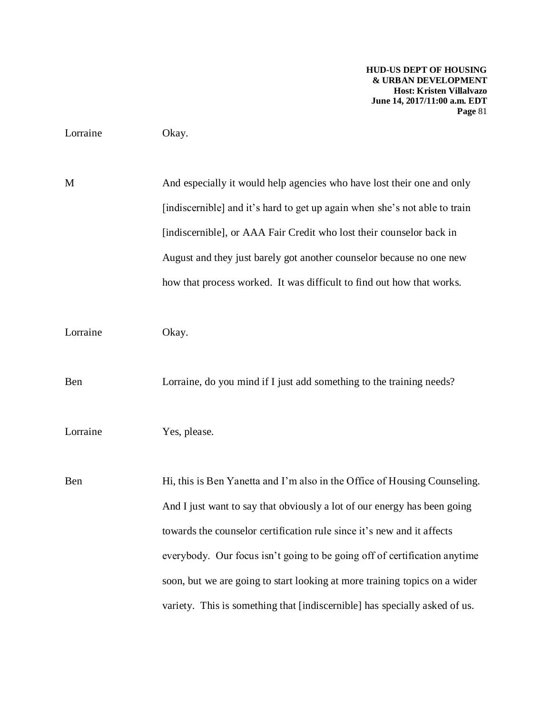## Lorraine Okay.

M And especially it would help agencies who have lost their one and only [indiscernible] and it's hard to get up again when she's not able to train [indiscernible], or AAA Fair Credit who lost their counselor back in August and they just barely got another counselor because no one new how that process worked. It was difficult to find out how that works.

Lorraine Okay.

Ben Lorraine, do you mind if I just add something to the training needs?

## Lorraine Yes, please.

Ben Hi, this is Ben Yanetta and I'm also in the Office of Housing Counseling. And I just want to say that obviously a lot of our energy has been going towards the counselor certification rule since it's new and it affects everybody. Our focus isn't going to be going off of certification anytime soon, but we are going to start looking at more training topics on a wider variety. This is something that [indiscernible] has specially asked of us.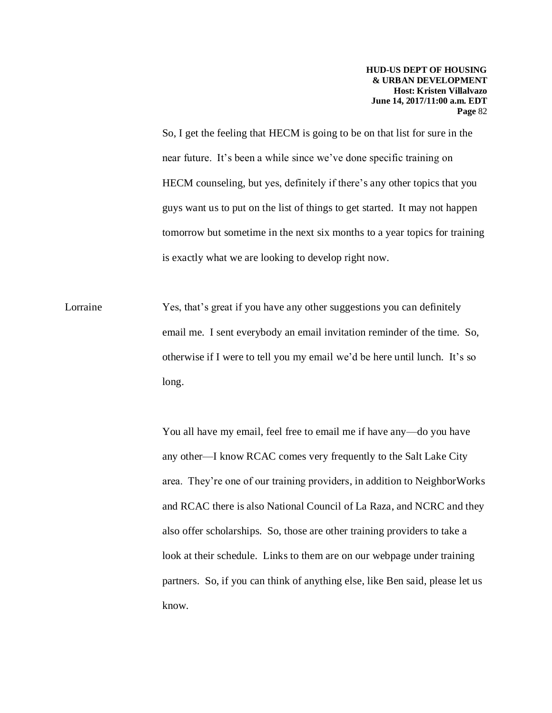So, I get the feeling that HECM is going to be on that list for sure in the near future. It's been a while since we've done specific training on HECM counseling, but yes, definitely if there's any other topics that you guys want us to put on the list of things to get started. It may not happen tomorrow but sometime in the next six months to a year topics for training is exactly what we are looking to develop right now.

Lorraine Yes, that's great if you have any other suggestions you can definitely email me. I sent everybody an email invitation reminder of the time. So, otherwise if I were to tell you my email we'd be here until lunch. It's so long.

> You all have my email, feel free to email me if have any—do you have any other—I know RCAC comes very frequently to the Salt Lake City area. They're one of our training providers, in addition to NeighborWorks and RCAC there is also National Council of La Raza, and NCRC and they also offer scholarships. So, those are other training providers to take a look at their schedule. Links to them are on our webpage under training partners. So, if you can think of anything else, like Ben said, please let us know.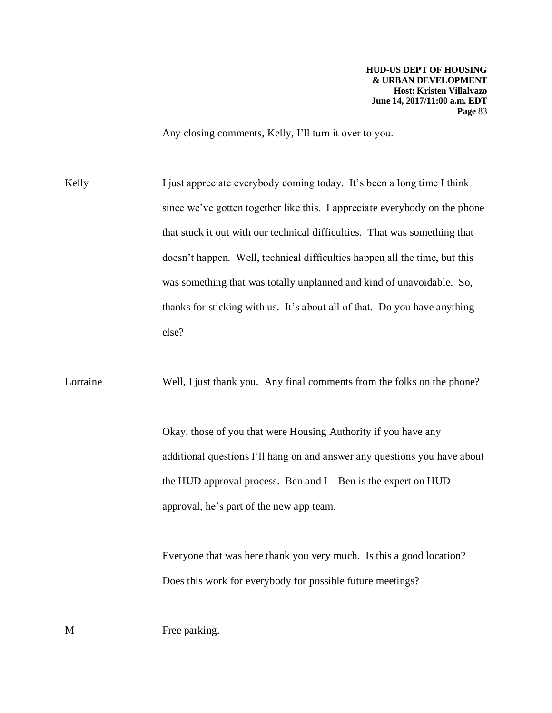Any closing comments, Kelly, I'll turn it over to you.

Kelly I just appreciate everybody coming today. It's been a long time I think since we've gotten together like this. I appreciate everybody on the phone that stuck it out with our technical difficulties. That was something that doesn't happen. Well, technical difficulties happen all the time, but this was something that was totally unplanned and kind of unavoidable. So, thanks for sticking with us. It's about all of that. Do you have anything else?

Lorraine Well, I just thank you. Any final comments from the folks on the phone?

Okay, those of you that were Housing Authority if you have any additional questions I'll hang on and answer any questions you have about the HUD approval process. Ben and I—Ben is the expert on HUD approval, he's part of the new app team.

Everyone that was here thank you very much. Is this a good location? Does this work for everybody for possible future meetings?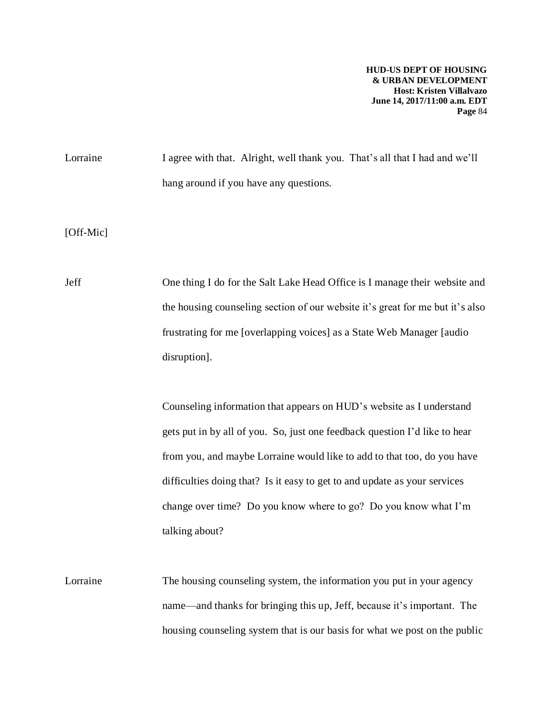Lorraine I agree with that. Alright, well thank you. That's all that I had and we'll hang around if you have any questions.

[Off-Mic]

Jeff One thing I do for the Salt Lake Head Office is I manage their website and the housing counseling section of our website it's great for me but it's also frustrating for me [overlapping voices] as a State Web Manager [audio disruption].

> Counseling information that appears on HUD's website as I understand gets put in by all of you. So, just one feedback question I'd like to hear from you, and maybe Lorraine would like to add to that too, do you have difficulties doing that? Is it easy to get to and update as your services change over time? Do you know where to go? Do you know what I'm talking about?

Lorraine The housing counseling system, the information you put in your agency name—and thanks for bringing this up, Jeff, because it's important. The housing counseling system that is our basis for what we post on the public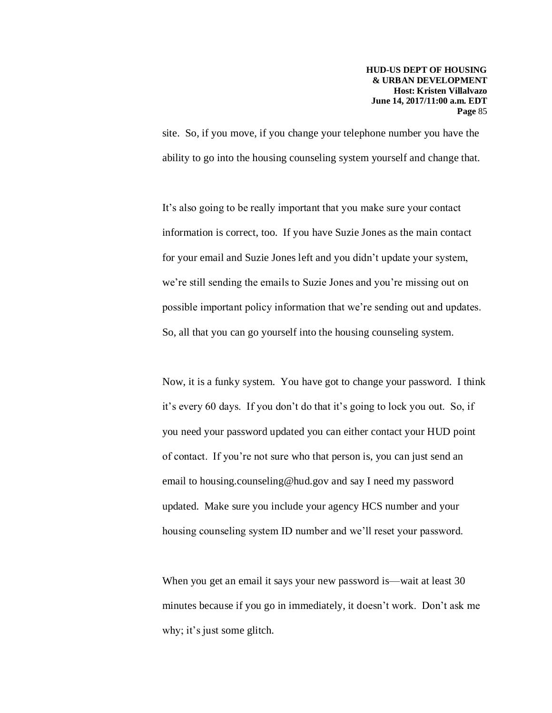site. So, if you move, if you change your telephone number you have the ability to go into the housing counseling system yourself and change that.

It's also going to be really important that you make sure your contact information is correct, too. If you have Suzie Jones as the main contact for your email and Suzie Jones left and you didn't update your system, we're still sending the emails to Suzie Jones and you're missing out on possible important policy information that we're sending out and updates. So, all that you can go yourself into the housing counseling system.

Now, it is a funky system. You have got to change your password. I think it's every 60 days. If you don't do that it's going to lock you out. So, if you need your password updated you can either contact your HUD point of contact. If you're not sure who that person is, you can just send an email to housing.counseling@hud.gov and say I need my password updated. Make sure you include your agency HCS number and your housing counseling system ID number and we'll reset your password.

When you get an email it says your new password is—wait at least 30 minutes because if you go in immediately, it doesn't work. Don't ask me why; it's just some glitch.